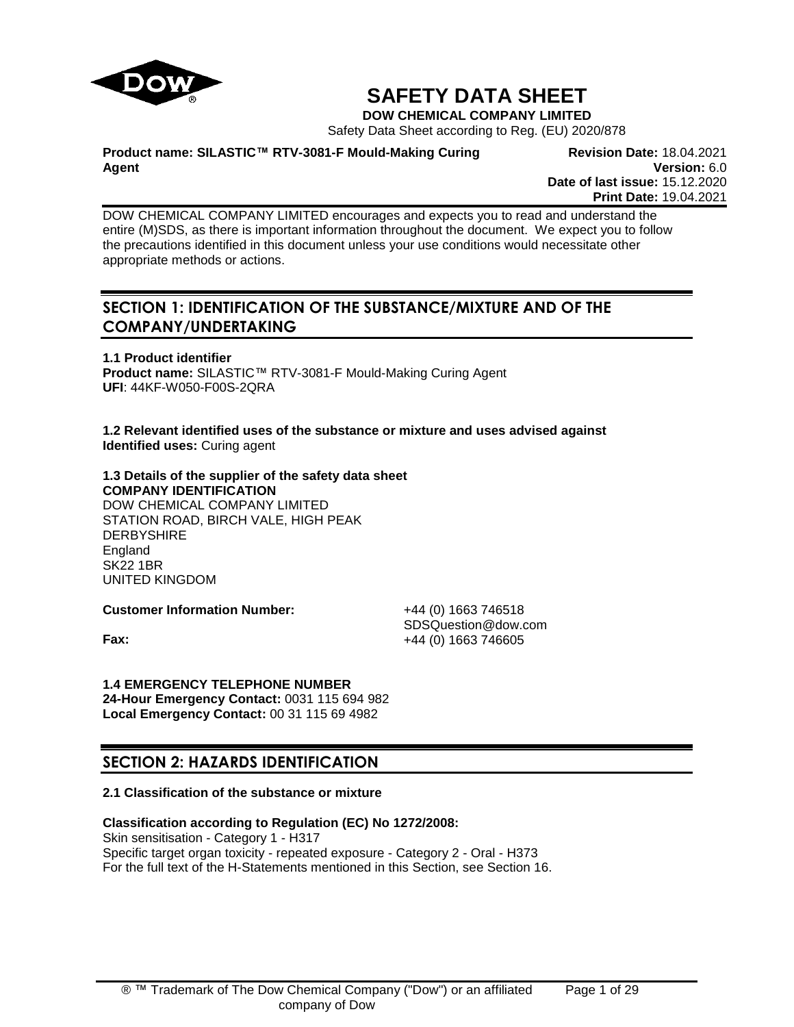

# **SAFETY DATA SHEET**

**DOW CHEMICAL COMPANY LIMITED**

Safety Data Sheet according to Reg. (EU) 2020/878

**Product name: SILASTIC™ RTV-3081-F Mould-Making Curing Agent**

**Revision Date:** 18.04.2021 **Version:** 6.0 **Date of last issue:** 15.12.2020 **Print Date:** 19.04.2021

DOW CHEMICAL COMPANY LIMITED encourages and expects you to read and understand the entire (M)SDS, as there is important information throughout the document. We expect you to follow the precautions identified in this document unless your use conditions would necessitate other appropriate methods or actions.

## **SECTION 1: IDENTIFICATION OF THE SUBSTANCE/MIXTURE AND OF THE COMPANY/UNDERTAKING**

**1.1 Product identifier Product name:** SILASTIC™ RTV-3081-F Mould-Making Curing Agent **UFI**: 44KF-W050-F00S-2QRA

**1.2 Relevant identified uses of the substance or mixture and uses advised against Identified uses:** Curing agent

## **1.3 Details of the supplier of the safety data sheet COMPANY IDENTIFICATION** DOW CHEMICAL COMPANY LIMITED

STATION ROAD, BIRCH VALE, HIGH PEAK **DERBYSHIRE** England SK22 1BR UNITED KINGDOM

**Customer Information Number:** +44 (0) 1663 746518

SDSQuestion@dow.com **Fax:**  $+44 (0) 1663 746605$ 

# **1.4 EMERGENCY TELEPHONE NUMBER**

**24-Hour Emergency Contact:** 0031 115 694 982 **Local Emergency Contact:** 00 31 115 69 4982

# **SECTION 2: HAZARDS IDENTIFICATION**

## **2.1 Classification of the substance or mixture**

## **Classification according to Regulation (EC) No 1272/2008:**

Skin sensitisation - Category 1 - H317 Specific target organ toxicity - repeated exposure - Category 2 - Oral - H373 For the full text of the H-Statements mentioned in this Section, see Section 16.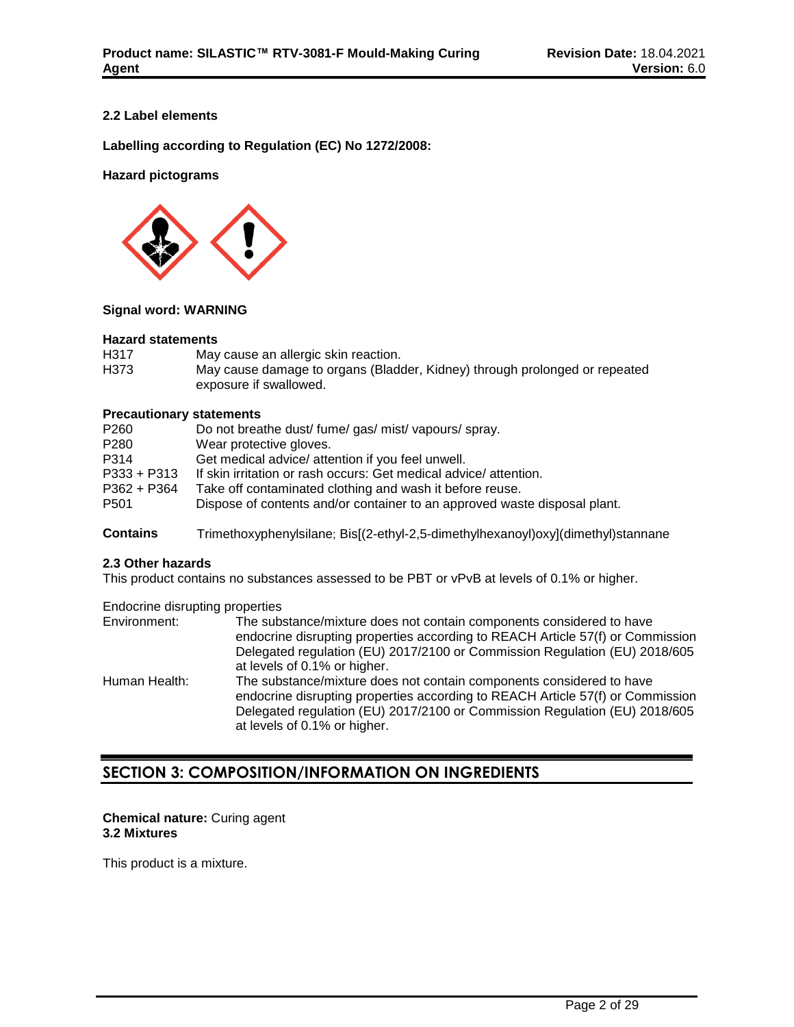## **2.2 Label elements**

**Labelling according to Regulation (EC) No 1272/2008:**

## **Hazard pictograms**



## **Signal word: WARNING**

#### **Hazard statements**

| H317 | May cause an allergic skin reaction.                                       |
|------|----------------------------------------------------------------------------|
| H373 | May cause damage to organs (Bladder, Kidney) through prolonged or repeated |
|      | exposure if swallowed.                                                     |

## **Precautionary statements**

| P260             | Do not breathe dust/fume/gas/mist/vapours/spray.                          |
|------------------|---------------------------------------------------------------------------|
| P280             | Wear protective gloves.                                                   |
| P314             | Get medical advice/ attention if you feel unwell.                         |
| $P333 + P313$    | If skin irritation or rash occurs: Get medical advice/attention.          |
| $P362 + P364$    | Take off contaminated clothing and wash it before reuse.                  |
| P <sub>501</sub> | Dispose of contents and/or container to an approved waste disposal plant. |
|                  |                                                                           |

**Contains** Trimethoxyphenylsilane; Bis[(2-ethyl-2,5-dimethylhexanoyl)oxy](dimethyl)stannane

## **2.3 Other hazards**

This product contains no substances assessed to be PBT or vPvB at levels of 0.1% or higher.

Endocrine disrupting properties

| Environment:  | The substance/mixture does not contain components considered to have<br>endocrine disrupting properties according to REACH Article 57(f) or Commission<br>Delegated regulation (EU) 2017/2100 or Commission Regulation (EU) 2018/605 |
|---------------|--------------------------------------------------------------------------------------------------------------------------------------------------------------------------------------------------------------------------------------|
|               | at levels of 0.1% or higher.                                                                                                                                                                                                         |
| Human Health: | The substance/mixture does not contain components considered to have<br>endocrine disrupting properties according to REACH Article 57(f) or Commission<br>Delegated regulation (EU) 2017/2100 or Commission Regulation (EU) 2018/605 |
|               | at levels of 0.1% or higher.                                                                                                                                                                                                         |

## **SECTION 3: COMPOSITION/INFORMATION ON INGREDIENTS**

#### **Chemical nature:** Curing agent **3.2 Mixtures**

This product is a mixture.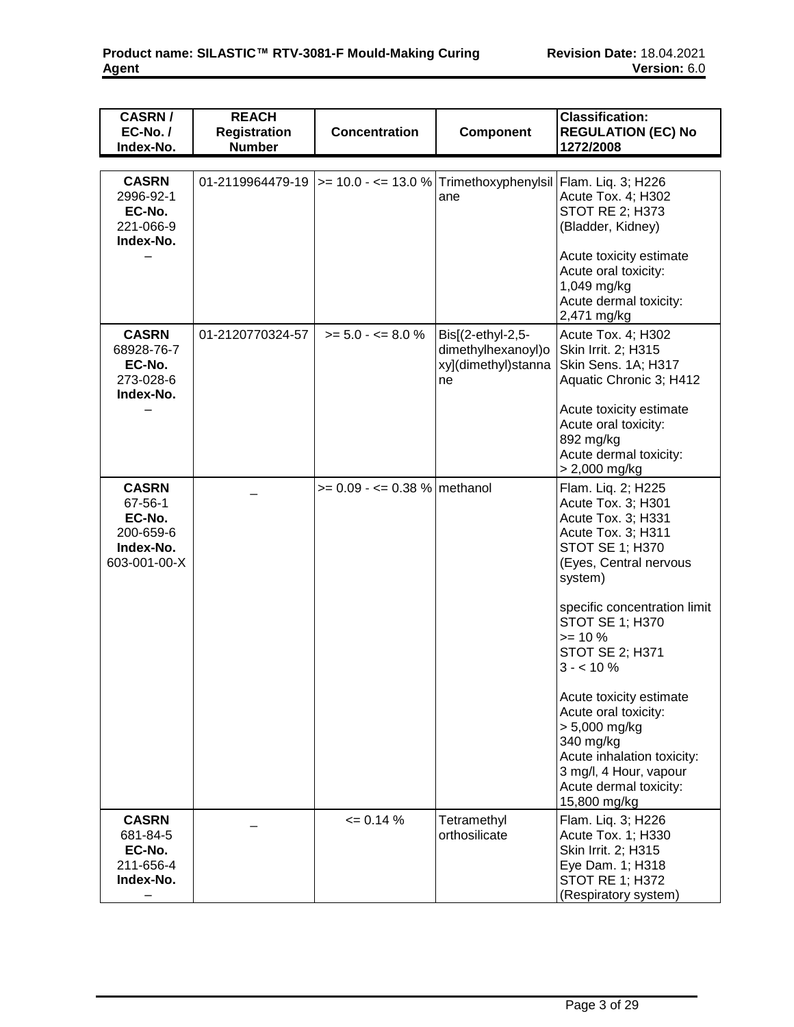| <b>CASRN/</b><br>EC-No./<br>Index-No.                                       | <b>REACH</b><br><b>Registration</b><br><b>Number</b> | <b>Concentration</b>                                                             | Component                                                            | <b>Classification:</b><br><b>REGULATION (EC) No</b><br>1272/2008                                                                                                                                                                                                                                                                                                                                                                                  |
|-----------------------------------------------------------------------------|------------------------------------------------------|----------------------------------------------------------------------------------|----------------------------------------------------------------------|---------------------------------------------------------------------------------------------------------------------------------------------------------------------------------------------------------------------------------------------------------------------------------------------------------------------------------------------------------------------------------------------------------------------------------------------------|
|                                                                             |                                                      |                                                                                  |                                                                      |                                                                                                                                                                                                                                                                                                                                                                                                                                                   |
| <b>CASRN</b><br>2996-92-1<br>EC-No.<br>221-066-9<br>Index-No.               |                                                      | 01-2119964479-19  >= 10.0 - <= 13.0 %   Trimethoxyphenylsil   Flam. Liq. 3; H226 | ane                                                                  | Acute Tox. 4; H302<br><b>STOT RE 2; H373</b><br>(Bladder, Kidney)<br>Acute toxicity estimate<br>Acute oral toxicity:<br>1,049 mg/kg<br>Acute dermal toxicity:<br>2,471 mg/kg                                                                                                                                                                                                                                                                      |
| <b>CASRN</b><br>68928-76-7<br>EC-No.<br>273-028-6<br>Index-No.              | 01-2120770324-57                                     | $>= 5.0 - 5.0$ %                                                                 | Bis[(2-ethyl-2,5-<br>dimethylhexanoyl)o<br>xy](dimethyl)stanna<br>ne | Acute Tox. 4; H302<br>Skin Irrit. 2; H315<br>Skin Sens. 1A; H317<br>Aquatic Chronic 3; H412<br>Acute toxicity estimate<br>Acute oral toxicity:<br>892 mg/kg<br>Acute dermal toxicity:<br>> 2,000 mg/kg                                                                                                                                                                                                                                            |
| <b>CASRN</b><br>67-56-1<br>EC-No.<br>200-659-6<br>Index-No.<br>603-001-00-X |                                                      | $>= 0.09 - \le 0.38$ % methanol                                                  |                                                                      | Flam. Liq. 2; H225<br>Acute Tox. 3; H301<br>Acute Tox. 3; H331<br>Acute Tox. 3; H311<br><b>STOT SE 1; H370</b><br>(Eyes, Central nervous<br>system)<br>specific concentration limit<br>STOT SE 1; H370<br>$>= 10 \%$<br><b>STOT SE 2; H371</b><br>$3 - 10\%$<br>Acute toxicity estimate<br>Acute oral toxicity:<br>$> 5,000$ mg/kg<br>340 mg/kg<br>Acute inhalation toxicity:<br>3 mg/l, 4 Hour, vapour<br>Acute dermal toxicity:<br>15,800 mg/kg |
| <b>CASRN</b><br>681-84-5<br>EC-No.<br>211-656-4<br>Index-No.                |                                                      | $= 0.14 %$                                                                       | Tetramethyl<br>orthosilicate                                         | Flam. Liq. 3; H226<br>Acute Tox. 1; H330<br>Skin Irrit. 2; H315<br>Eye Dam. 1; H318<br><b>STOT RE 1; H372</b><br>(Respiratory system)                                                                                                                                                                                                                                                                                                             |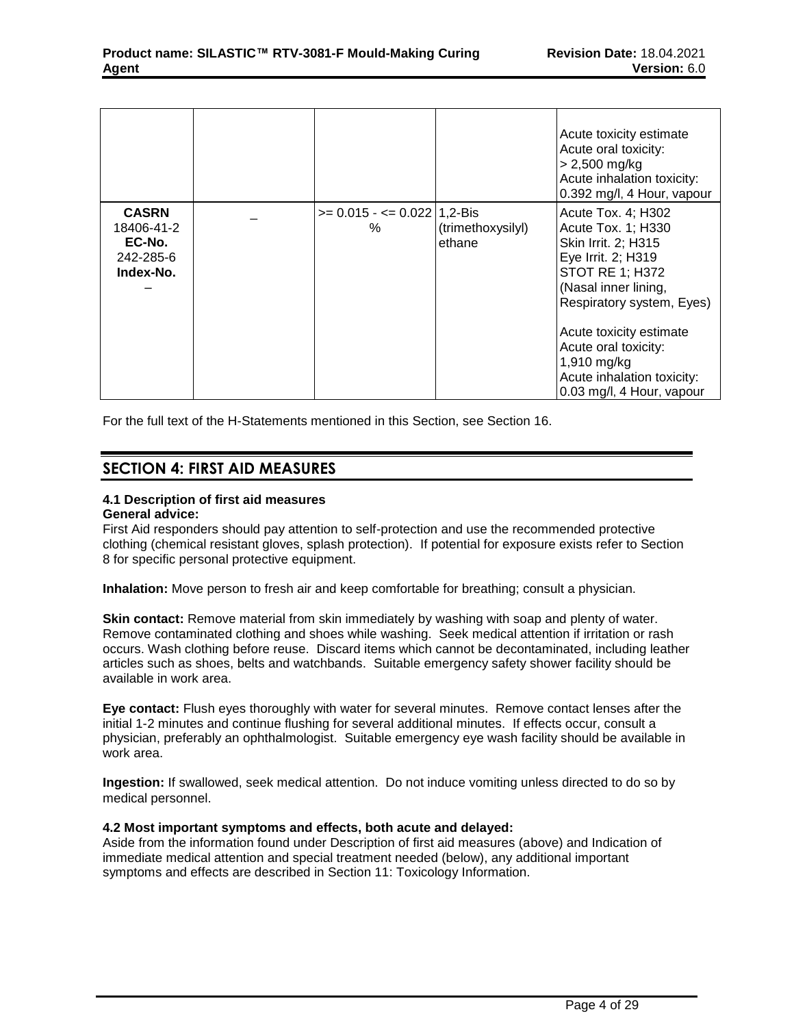|                                                                |                                       |                             | Acute toxicity estimate<br>Acute oral toxicity:<br>$> 2,500$ mg/kg<br>Acute inhalation toxicity:<br>0.392 mg/l, 4 Hour, vapour                                                                                                                                                                      |
|----------------------------------------------------------------|---------------------------------------|-----------------------------|-----------------------------------------------------------------------------------------------------------------------------------------------------------------------------------------------------------------------------------------------------------------------------------------------------|
| <b>CASRN</b><br>18406-41-2<br>EC-No.<br>242-285-6<br>Index-No. | $>= 0.015 - \le 0.022$   1,2-Bis<br>% | (trimethoxysilyl)<br>ethane | Acute Tox. 4; H302<br>Acute Tox. 1; H330<br>Skin Irrit. 2; H315<br>Eye Irrit. 2; H319<br><b>STOT RE 1; H372</b><br>(Nasal inner lining,<br>Respiratory system, Eyes)<br>Acute toxicity estimate<br>Acute oral toxicity:<br>$1,910$ mg/kg<br>Acute inhalation toxicity:<br>0.03 mg/l, 4 Hour, vapour |

For the full text of the H-Statements mentioned in this Section, see Section 16.

## **SECTION 4: FIRST AID MEASURES**

## **4.1 Description of first aid measures**

## **General advice:**

First Aid responders should pay attention to self-protection and use the recommended protective clothing (chemical resistant gloves, splash protection). If potential for exposure exists refer to Section 8 for specific personal protective equipment.

**Inhalation:** Move person to fresh air and keep comfortable for breathing; consult a physician.

**Skin contact:** Remove material from skin immediately by washing with soap and plenty of water. Remove contaminated clothing and shoes while washing. Seek medical attention if irritation or rash occurs. Wash clothing before reuse. Discard items which cannot be decontaminated, including leather articles such as shoes, belts and watchbands. Suitable emergency safety shower facility should be available in work area.

**Eye contact:** Flush eyes thoroughly with water for several minutes. Remove contact lenses after the initial 1-2 minutes and continue flushing for several additional minutes. If effects occur, consult a physician, preferably an ophthalmologist. Suitable emergency eye wash facility should be available in work area.

**Ingestion:** If swallowed, seek medical attention. Do not induce vomiting unless directed to do so by medical personnel.

## **4.2 Most important symptoms and effects, both acute and delayed:**

Aside from the information found under Description of first aid measures (above) and Indication of immediate medical attention and special treatment needed (below), any additional important symptoms and effects are described in Section 11: Toxicology Information.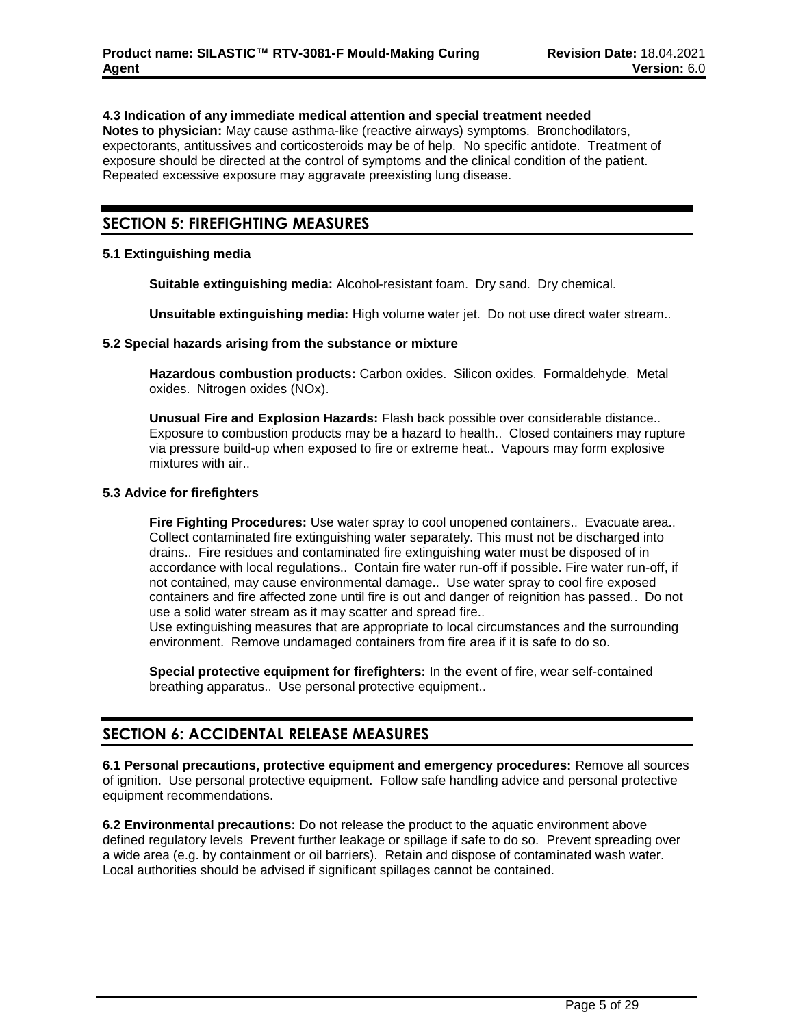#### **4.3 Indication of any immediate medical attention and special treatment needed**

**Notes to physician:** May cause asthma-like (reactive airways) symptoms. Bronchodilators, expectorants, antitussives and corticosteroids may be of help. No specific antidote. Treatment of exposure should be directed at the control of symptoms and the clinical condition of the patient. Repeated excessive exposure may aggravate preexisting lung disease.

## **SECTION 5: FIREFIGHTING MEASURES**

### **5.1 Extinguishing media**

**Suitable extinguishing media:** Alcohol-resistant foam. Dry sand. Dry chemical.

**Unsuitable extinguishing media:** High volume water jet. Do not use direct water stream..

#### **5.2 Special hazards arising from the substance or mixture**

**Hazardous combustion products:** Carbon oxides. Silicon oxides. Formaldehyde. Metal oxides. Nitrogen oxides (NOx).

**Unusual Fire and Explosion Hazards:** Flash back possible over considerable distance.. Exposure to combustion products may be a hazard to health.. Closed containers may rupture via pressure build-up when exposed to fire or extreme heat.. Vapours may form explosive mixtures with air..

#### **5.3 Advice for firefighters**

**Fire Fighting Procedures:** Use water spray to cool unopened containers.. Evacuate area.. Collect contaminated fire extinguishing water separately. This must not be discharged into drains.. Fire residues and contaminated fire extinguishing water must be disposed of in accordance with local regulations.. Contain fire water run-off if possible. Fire water run-off, if not contained, may cause environmental damage.. Use water spray to cool fire exposed containers and fire affected zone until fire is out and danger of reignition has passed.. Do not use a solid water stream as it may scatter and spread fire..

Use extinguishing measures that are appropriate to local circumstances and the surrounding environment. Remove undamaged containers from fire area if it is safe to do so.

**Special protective equipment for firefighters:** In the event of fire, wear self-contained breathing apparatus.. Use personal protective equipment..

## **SECTION 6: ACCIDENTAL RELEASE MEASURES**

**6.1 Personal precautions, protective equipment and emergency procedures:** Remove all sources of ignition. Use personal protective equipment. Follow safe handling advice and personal protective equipment recommendations.

**6.2 Environmental precautions:** Do not release the product to the aquatic environment above defined regulatory levels Prevent further leakage or spillage if safe to do so. Prevent spreading over a wide area (e.g. by containment or oil barriers). Retain and dispose of contaminated wash water. Local authorities should be advised if significant spillages cannot be contained.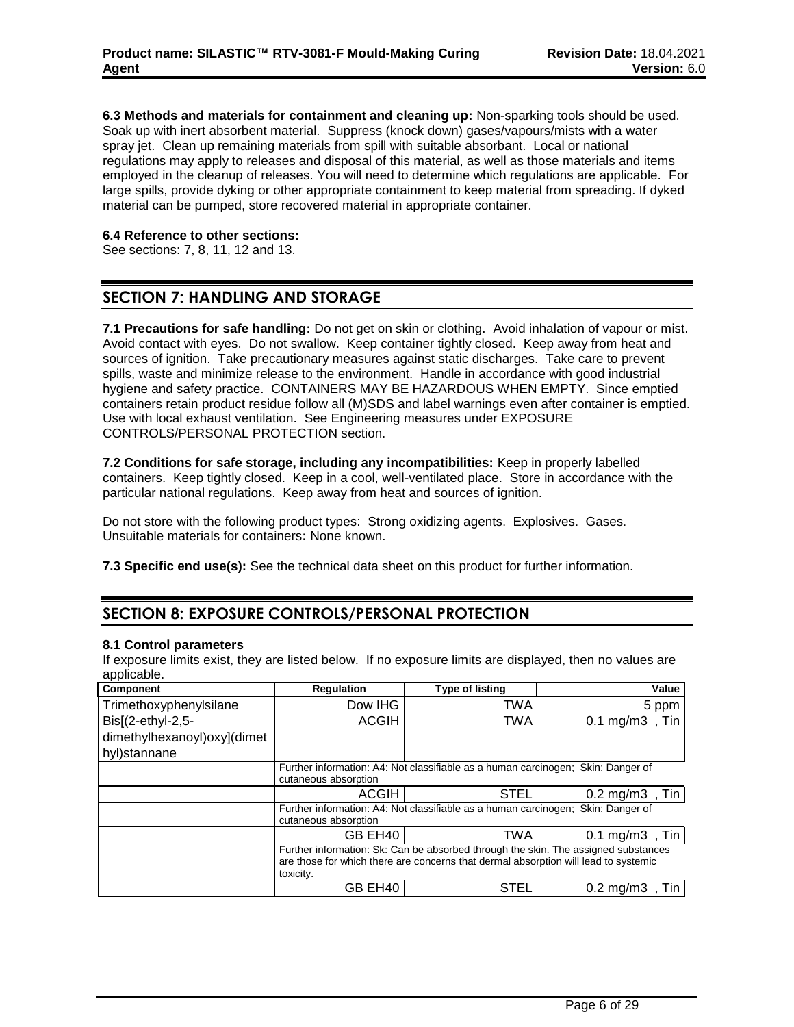**6.3 Methods and materials for containment and cleaning up:** Non-sparking tools should be used. Soak up with inert absorbent material. Suppress (knock down) gases/vapours/mists with a water spray jet. Clean up remaining materials from spill with suitable absorbant. Local or national regulations may apply to releases and disposal of this material, as well as those materials and items employed in the cleanup of releases. You will need to determine which regulations are applicable. For large spills, provide dyking or other appropriate containment to keep material from spreading. If dyked material can be pumped, store recovered material in appropriate container.

### **6.4 Reference to other sections:**

See sections: 7, 8, 11, 12 and 13.

## **SECTION 7: HANDLING AND STORAGE**

**7.1 Precautions for safe handling:** Do not get on skin or clothing. Avoid inhalation of vapour or mist. Avoid contact with eyes. Do not swallow. Keep container tightly closed. Keep away from heat and sources of ignition. Take precautionary measures against static discharges. Take care to prevent spills, waste and minimize release to the environment. Handle in accordance with good industrial hygiene and safety practice. CONTAINERS MAY BE HAZARDOUS WHEN EMPTY. Since emptied containers retain product residue follow all (M)SDS and label warnings even after container is emptied. Use with local exhaust ventilation. See Engineering measures under EXPOSURE CONTROLS/PERSONAL PROTECTION section.

**7.2 Conditions for safe storage, including any incompatibilities:** Keep in properly labelled containers. Keep tightly closed. Keep in a cool, well-ventilated place. Store in accordance with the particular national regulations. Keep away from heat and sources of ignition.

Do not store with the following product types: Strong oxidizing agents. Explosives. Gases. Unsuitable materials for containers**:** None known.

**7.3 Specific end use(s):** See the technical data sheet on this product for further information.

## **SECTION 8: EXPOSURE CONTROLS/PERSONAL PROTECTION**

## **8.1 Control parameters**

If exposure limits exist, they are listed below. If no exposure limits are displayed, then no values are applicable

| Component                   | <b>Regulation</b>                                                                                | <b>Type of listing</b>                                                           | Value                         |  |  |  |  |
|-----------------------------|--------------------------------------------------------------------------------------------------|----------------------------------------------------------------------------------|-------------------------------|--|--|--|--|
| Trimethoxyphenylsilane      | Dow IHG                                                                                          | TWA                                                                              | 5 ppm                         |  |  |  |  |
| Bis[(2-ethyl-2,5-           | <b>ACGIH</b>                                                                                     | TWA                                                                              | $0.1$ mg/m $3$<br>. Tin       |  |  |  |  |
| dimethylhexanoyl)oxy](dimet |                                                                                                  |                                                                                  |                               |  |  |  |  |
| hyl)stannane                |                                                                                                  |                                                                                  |                               |  |  |  |  |
|                             | Further information: A4: Not classifiable as a human carcinogen; Skin: Danger of                 |                                                                                  |                               |  |  |  |  |
|                             | cutaneous absorption                                                                             |                                                                                  |                               |  |  |  |  |
|                             | <b>ACGIH</b>                                                                                     | <b>STEL</b>                                                                      | $0.2 \text{ mg/m}$ 3<br>. Tin |  |  |  |  |
|                             |                                                                                                  | Further information: A4: Not classifiable as a human carcinogen; Skin: Danger of |                               |  |  |  |  |
|                             | cutaneous absorption                                                                             |                                                                                  |                               |  |  |  |  |
|                             | GB EH40                                                                                          | TWA                                                                              | $0.1 \text{ mg/m}$ 3<br>. Tin |  |  |  |  |
|                             | Further information: Sk: Can be absorbed through the skin. The assigned substances               |                                                                                  |                               |  |  |  |  |
|                             | are those for which there are concerns that dermal absorption will lead to systemic<br>toxicity. |                                                                                  |                               |  |  |  |  |
|                             |                                                                                                  | <b>STEL</b>                                                                      |                               |  |  |  |  |
|                             | GB EH40                                                                                          |                                                                                  | $0.2 \text{ mg/m}$ 3<br>. Tin |  |  |  |  |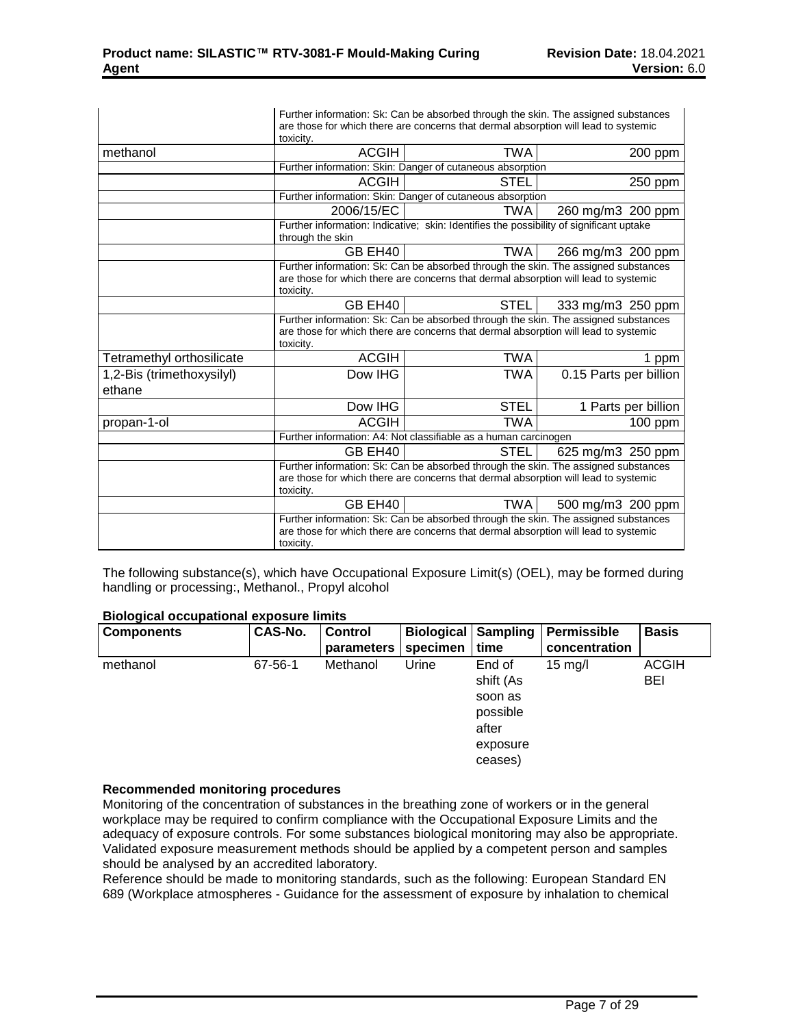|                                     | Further information: Sk: Can be absorbed through the skin. The assigned substances<br>are those for which there are concerns that dermal absorption will lead to systemic<br>toxicity. |                                                                                         |                        |  |  |  |  |
|-------------------------------------|----------------------------------------------------------------------------------------------------------------------------------------------------------------------------------------|-----------------------------------------------------------------------------------------|------------------------|--|--|--|--|
| methanol                            | <b>ACGIH</b>                                                                                                                                                                           | <b>TWA</b>                                                                              | 200 ppm                |  |  |  |  |
|                                     |                                                                                                                                                                                        | Further information: Skin: Danger of cutaneous absorption                               |                        |  |  |  |  |
|                                     | <b>ACGIH</b>                                                                                                                                                                           | STEL                                                                                    | 250 ppm                |  |  |  |  |
|                                     |                                                                                                                                                                                        | Further information: Skin: Danger of cutaneous absorption                               |                        |  |  |  |  |
|                                     | 2006/15/EC                                                                                                                                                                             | TWA                                                                                     | 260 mg/m3 200 ppm      |  |  |  |  |
|                                     | through the skin                                                                                                                                                                       | Further information: Indicative: skin: Identifies the possibility of significant uptake |                        |  |  |  |  |
|                                     | GB EH40<br><b>TWA</b><br>266 mg/m3 200 ppm                                                                                                                                             |                                                                                         |                        |  |  |  |  |
|                                     | Further information: Sk: Can be absorbed through the skin. The assigned substances<br>are those for which there are concerns that dermal absorption will lead to systemic<br>toxicity. |                                                                                         |                        |  |  |  |  |
|                                     | GB EH40<br><b>STEL</b><br>333 mg/m3 250 ppm                                                                                                                                            |                                                                                         |                        |  |  |  |  |
|                                     | Further information: Sk: Can be absorbed through the skin. The assigned substances<br>are those for which there are concerns that dermal absorption will lead to systemic<br>toxicity. |                                                                                         |                        |  |  |  |  |
| Tetramethyl orthosilicate           | <b>ACGIH</b>                                                                                                                                                                           | TWA                                                                                     | 1 ppm                  |  |  |  |  |
| 1,2-Bis (trimethoxysilyl)<br>ethane | Dow IHG                                                                                                                                                                                | <b>TWA</b>                                                                              | 0.15 Parts per billion |  |  |  |  |
|                                     | Dow IHG                                                                                                                                                                                | STEL                                                                                    | 1 Parts per billion    |  |  |  |  |
| propan-1-ol                         | <b>ACGIH</b>                                                                                                                                                                           | <b>TWA</b>                                                                              | 100 ppm                |  |  |  |  |
|                                     |                                                                                                                                                                                        | Further information: A4: Not classifiable as a human carcinogen                         |                        |  |  |  |  |
|                                     | GB EH40                                                                                                                                                                                | <b>STEL</b>                                                                             | 625 mg/m3 250 ppm      |  |  |  |  |
|                                     | Further information: Sk: Can be absorbed through the skin. The assigned substances<br>are those for which there are concerns that dermal absorption will lead to systemic<br>toxicity. |                                                                                         |                        |  |  |  |  |
|                                     | GB EH40                                                                                                                                                                                | <b>TWA</b>                                                                              | 500 mg/m3 200 ppm      |  |  |  |  |
|                                     | Further information: Sk: Can be absorbed through the skin. The assigned substances<br>are those for which there are concerns that dermal absorption will lead to systemic<br>toxicity. |                                                                                         |                        |  |  |  |  |

The following substance(s), which have Occupational Exposure Limit(s) (OEL), may be formed during handling or processing:, Methanol., Propyl alcohol

| <b>Biological occupational exposure limits</b> |                      |              |
|------------------------------------------------|----------------------|--------------|
| $\Gamma$ camponento                            | $CAC$ N <sub>o</sub> | $C_{\alpha}$ |

| <b>Components</b> | CAS-No. | <b>Control</b> | <b>Biological Sampling</b> |           | Permissible       | <b>Basis</b> |
|-------------------|---------|----------------|----------------------------|-----------|-------------------|--------------|
|                   |         | parameters     | specimen                   | time      | concentration     |              |
| methanol          | 67-56-1 | Methanol       | Urine                      | End of    | $15 \text{ mg/l}$ | <b>ACGIH</b> |
|                   |         |                |                            | shift (As |                   | <b>BEI</b>   |
|                   |         |                |                            | soon as   |                   |              |
|                   |         |                |                            | possible  |                   |              |
|                   |         |                |                            | after     |                   |              |
|                   |         |                |                            | exposure  |                   |              |
|                   |         |                |                            | ceases)   |                   |              |

## **Recommended monitoring procedures**

Monitoring of the concentration of substances in the breathing zone of workers or in the general workplace may be required to confirm compliance with the Occupational Exposure Limits and the adequacy of exposure controls. For some substances biological monitoring may also be appropriate. Validated exposure measurement methods should be applied by a competent person and samples should be analysed by an accredited laboratory.

Reference should be made to monitoring standards, such as the following: European Standard EN 689 (Workplace atmospheres - Guidance for the assessment of exposure by inhalation to chemical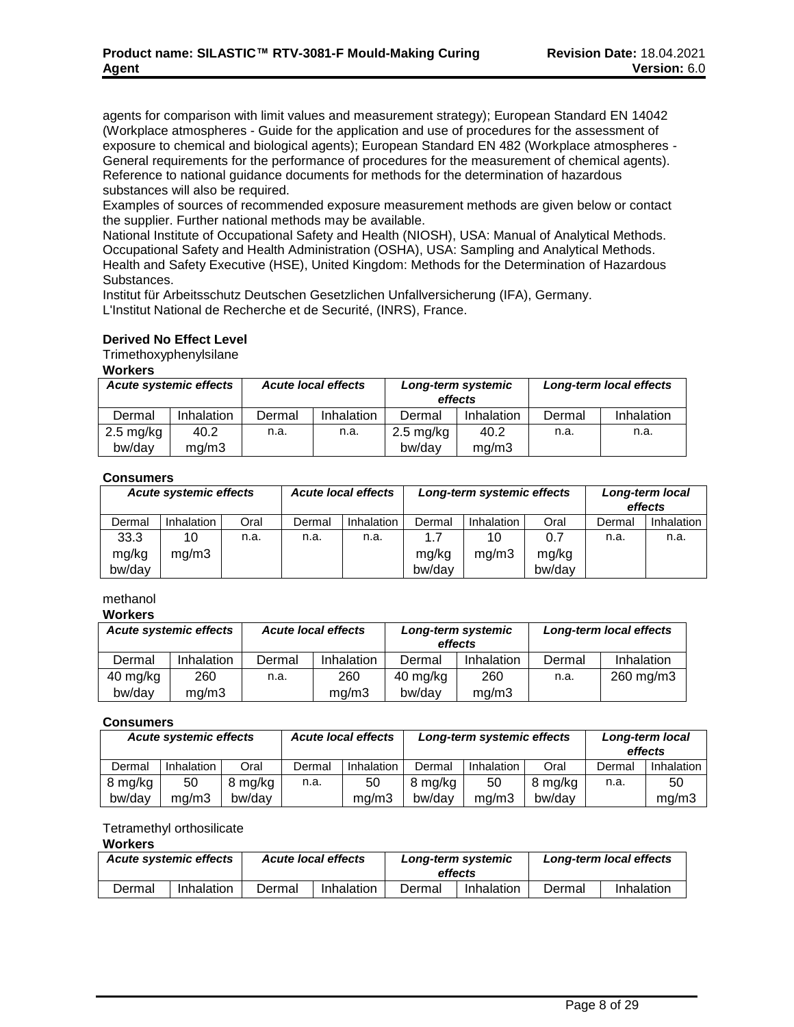agents for comparison with limit values and measurement strategy); European Standard EN 14042 (Workplace atmospheres - Guide for the application and use of procedures for the assessment of exposure to chemical and biological agents); European Standard EN 482 (Workplace atmospheres - General requirements for the performance of procedures for the measurement of chemical agents). Reference to national guidance documents for methods for the determination of hazardous substances will also be required.

Examples of sources of recommended exposure measurement methods are given below or contact the supplier. Further national methods may be available.

National Institute of Occupational Safety and Health (NIOSH), USA: Manual of Analytical Methods. Occupational Safety and Health Administration (OSHA), USA: Sampling and Analytical Methods. Health and Safety Executive (HSE), United Kingdom: Methods for the Determination of Hazardous Substances.

Institut für Arbeitsschutz Deutschen Gesetzlichen Unfallversicherung (IFA), Germany. L'Institut National de Recherche et de Securité, (INRS), France.

## **Derived No Effect Level**

Trimethoxyphenylsilane

#### **Workers**

| <b>Acute systemic effects</b> |            |        | <b>Acute local effects</b> | Long-term systemic<br>effects |            | Long-term local effects |            |  |  |
|-------------------------------|------------|--------|----------------------------|-------------------------------|------------|-------------------------|------------|--|--|
| Dermal                        | Inhalation | Dermal | Inhalation                 | Dermal                        | Inhalation | Dermal                  | Inhalation |  |  |
| $2.5 \text{ mg/kg}$           | 40.2       | n.a.   | n.a.                       | $2.5 \text{ mg/kg}$           | 40.2       | n.a.                    | n.a.       |  |  |
| bw/day                        | mq/m3      |        |                            | bw/day                        | mq/m3      |                         |            |  |  |

## **Consumers**

| <b>Acute systemic effects</b> |                 | <b>Acute local effects</b> |      |        | Long-term systemic effects |                 | Long-term local<br>effects |                 |        |                   |  |
|-------------------------------|-----------------|----------------------------|------|--------|----------------------------|-----------------|----------------------------|-----------------|--------|-------------------|--|
|                               | Dermal          | Inhalation                 | Oral | Dermal | <b>Inhalation</b>          | Dermal          | Inhalation                 | Oral            | Dermal | <b>Inhalation</b> |  |
|                               | 33.3            | 10                         | n.a. | n.a.   | n.a.                       |                 | 10                         | 0.7             | n.a.   | n.a.              |  |
|                               | mg/kg<br>bw/day | mg/m3                      |      |        |                            | mg/kg<br>bw/day | ma/m3                      | mg/kg<br>bw/day |        |                   |  |

## methanol

**Workers**

| <b>Acute systemic effects</b> |            | <b>Acute local effects</b> |            | Long-term systemic<br>effects |            | Long-term local effects |            |
|-------------------------------|------------|----------------------------|------------|-------------------------------|------------|-------------------------|------------|
| Dermal                        | Inhalation | Dermal                     | Inhalation | Dermal                        | Inhalation | Dermal                  | Inhalation |
| 40 mg/kg                      | 260        | n.a.                       | 260        | 40 mg/kg                      | 260        | n.a.                    | 260 mg/m3  |
| bw/day                        | mq/m3      |                            | mq/m3      | bw/dav                        | mq/m3      |                         |            |

## **Consumers**

| <b>Acute systemic effects</b> |                   | <b>Acute local effects</b> |        | Long-term systemic effects |         |            | Long-term local<br>effects |        |            |
|-------------------------------|-------------------|----------------------------|--------|----------------------------|---------|------------|----------------------------|--------|------------|
| Dermal                        | <b>Inhalation</b> | Oral                       | Dermal | Inhalation                 | Dermal  | Inhalation | Oral                       | Dermal | Inhalation |
| 8 mg/kg                       | 50                | 8 mg/kg                    | n.a.   | 50                         | 8 mg/kg | 50         | 8 mg/kg                    | n.a.   | 50         |
| bw/day                        | ma/m3             | bw/dav                     |        | ma/m3                      | bw/day  | ma/m3      | bw/dav                     |        | mq/m3      |

## Tetramethyl orthosilicate

#### **Workers**

| Acute systemic effects |            | <b>Acute local effects</b> |            | Long-term systemic<br>effects |            | Long-term local effects |            |
|------------------------|------------|----------------------------|------------|-------------------------------|------------|-------------------------|------------|
| Dermal                 | Inhalation | Dermal                     | Inhalation | Dermal                        | Inhalation | Dermal                  | Inhalation |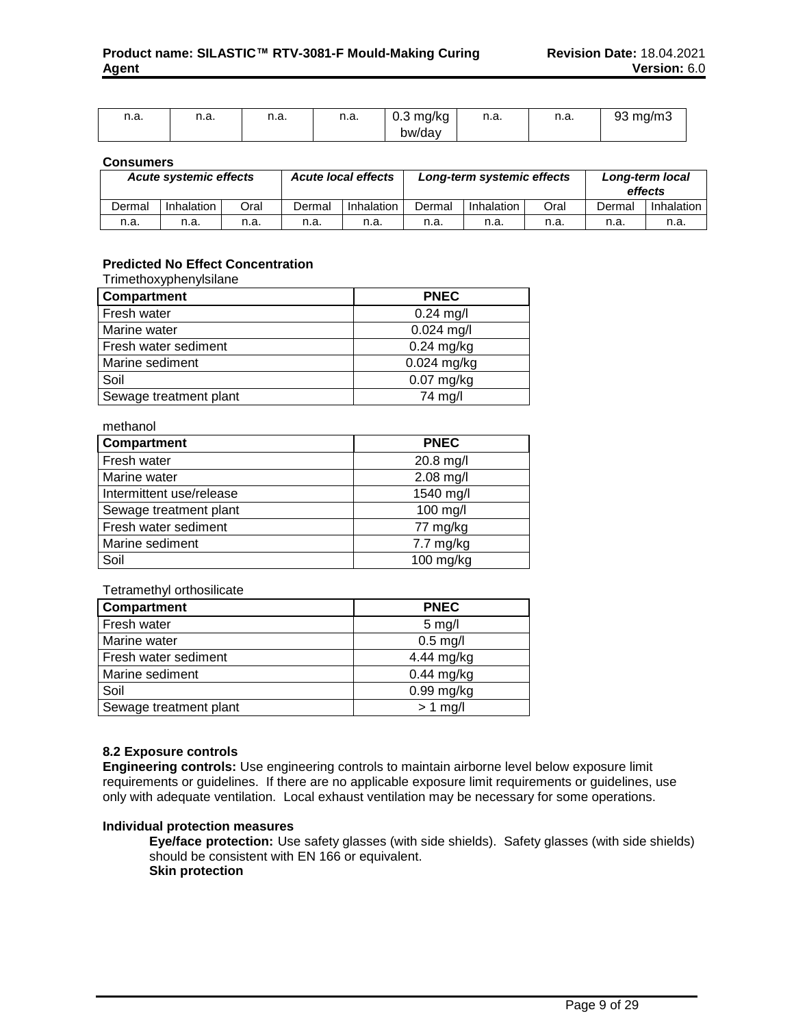| n.a. | н.а. | n.a. | n n<br>11.a. | $0.3$ mg/kg | n a<br>11.a. | n.a. | 93 mg/m3 |
|------|------|------|--------------|-------------|--------------|------|----------|
|      |      |      |              | bw/day      |              |      |          |

#### **Consumers**

| <b>Acute systemic effects</b> |            | <b>Acute local effects</b> |        | Long-term systemic effects |        |            | Long-term local<br>effects |        |            |
|-------------------------------|------------|----------------------------|--------|----------------------------|--------|------------|----------------------------|--------|------------|
| Dermal                        | Inhalation | Oral                       | Dermal | Inhalation                 | Dermal | Inhalation | Oral                       | Dermal | Inhalation |
| n.a.                          | n.a.       | n.a.                       | n.a.   | n.a.                       | n.a.   | n.a.       | n.a.                       | n.a.   | n.a.       |

## **Predicted No Effect Concentration**

#### Trimethoxyphenylsilane

| <b>Compartment</b>     | <b>PNEC</b>   |
|------------------------|---------------|
| Fresh water            | $0.24$ mg/l   |
| Marine water           | $0.024$ mg/l  |
| Fresh water sediment   | $0.24$ mg/kg  |
| Marine sediment        | $0.024$ mg/kg |
| Soil                   | $0.07$ mg/kg  |
| Sewage treatment plant | 74 mg/l       |

methanol

| <b>Compartment</b>       | <b>PNEC</b>         |
|--------------------------|---------------------|
| Fresh water              | 20.8 mg/l           |
| Marine water             | $2.08$ mg/l         |
| Intermittent use/release | 1540 mg/l           |
| Sewage treatment plant   | 100 mg/l            |
| Fresh water sediment     | 77 mg/kg            |
| Marine sediment          | $7.7 \text{ mg/kg}$ |
| Soil                     | $100$ mg/kg         |

#### Tetramethyl orthosilicate

| Compartment            | <b>PNEC</b>  |
|------------------------|--------------|
| Fresh water            | $5$ mg/l     |
| Marine water           | $0.5$ mg/l   |
| Fresh water sediment   | 4.44 mg/kg   |
| Marine sediment        | $0.44$ mg/kg |
| Soil                   | $0.99$ mg/kg |
| Sewage treatment plant | $> 1$ mg/l   |

## **8.2 Exposure controls**

**Engineering controls:** Use engineering controls to maintain airborne level below exposure limit requirements or guidelines. If there are no applicable exposure limit requirements or guidelines, use only with adequate ventilation. Local exhaust ventilation may be necessary for some operations.

#### **Individual protection measures**

**Eye/face protection:** Use safety glasses (with side shields). Safety glasses (with side shields) should be consistent with EN 166 or equivalent. **Skin protection**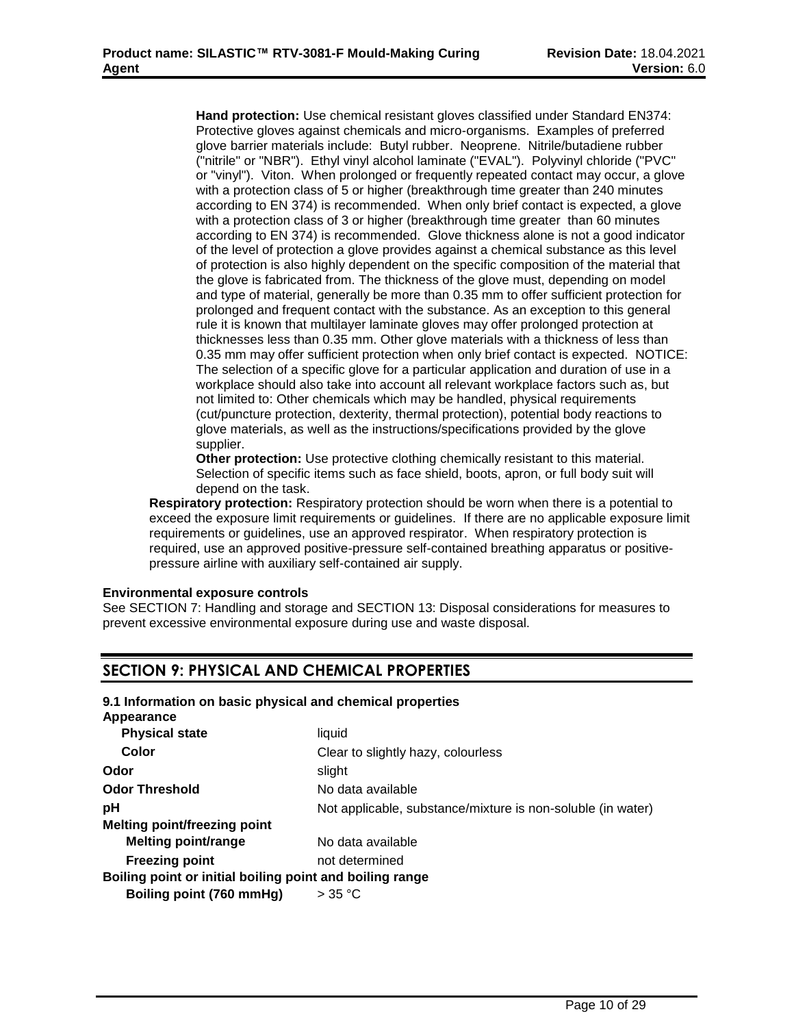**Hand protection:** Use chemical resistant gloves classified under Standard EN374: Protective gloves against chemicals and micro-organisms. Examples of preferred glove barrier materials include: Butyl rubber. Neoprene. Nitrile/butadiene rubber ("nitrile" or "NBR"). Ethyl vinyl alcohol laminate ("EVAL"). Polyvinyl chloride ("PVC" or "vinyl"). Viton. When prolonged or frequently repeated contact may occur, a glove with a protection class of 5 or higher (breakthrough time greater than 240 minutes according to EN 374) is recommended. When only brief contact is expected, a glove with a protection class of 3 or higher (breakthrough time greater than 60 minutes according to EN 374) is recommended. Glove thickness alone is not a good indicator of the level of protection a glove provides against a chemical substance as this level of protection is also highly dependent on the specific composition of the material that the glove is fabricated from. The thickness of the glove must, depending on model and type of material, generally be more than 0.35 mm to offer sufficient protection for prolonged and frequent contact with the substance. As an exception to this general rule it is known that multilayer laminate gloves may offer prolonged protection at thicknesses less than 0.35 mm. Other glove materials with a thickness of less than 0.35 mm may offer sufficient protection when only brief contact is expected. NOTICE: The selection of a specific glove for a particular application and duration of use in a workplace should also take into account all relevant workplace factors such as, but not limited to: Other chemicals which may be handled, physical requirements (cut/puncture protection, dexterity, thermal protection), potential body reactions to glove materials, as well as the instructions/specifications provided by the glove supplier.

**Other protection:** Use protective clothing chemically resistant to this material. Selection of specific items such as face shield, boots, apron, or full body suit will depend on the task.

**Respiratory protection:** Respiratory protection should be worn when there is a potential to exceed the exposure limit requirements or guidelines. If there are no applicable exposure limit requirements or guidelines, use an approved respirator. When respiratory protection is required, use an approved positive-pressure self-contained breathing apparatus or positivepressure airline with auxiliary self-contained air supply.

## **Environmental exposure controls**

See SECTION 7: Handling and storage and SECTION 13: Disposal considerations for measures to prevent excessive environmental exposure during use and waste disposal.

## **SECTION 9: PHYSICAL AND CHEMICAL PROPERTIES**

## **9.1 Information on basic physical and chemical properties**

**Appearance**

| <b>Physical state</b>                                    | liquid                                                      |
|----------------------------------------------------------|-------------------------------------------------------------|
| Color                                                    | Clear to slightly hazy, colourless                          |
| Odor                                                     | slight                                                      |
| <b>Odor Threshold</b>                                    | No data available                                           |
| pH                                                       | Not applicable, substance/mixture is non-soluble (in water) |
| <b>Melting point/freezing point</b>                      |                                                             |
| <b>Melting point/range</b>                               | No data available                                           |
| <b>Freezing point</b>                                    | not determined                                              |
| Boiling point or initial boiling point and boiling range |                                                             |
| Boiling point (760 mmHg)                                 | $>$ 35 °C                                                   |
|                                                          |                                                             |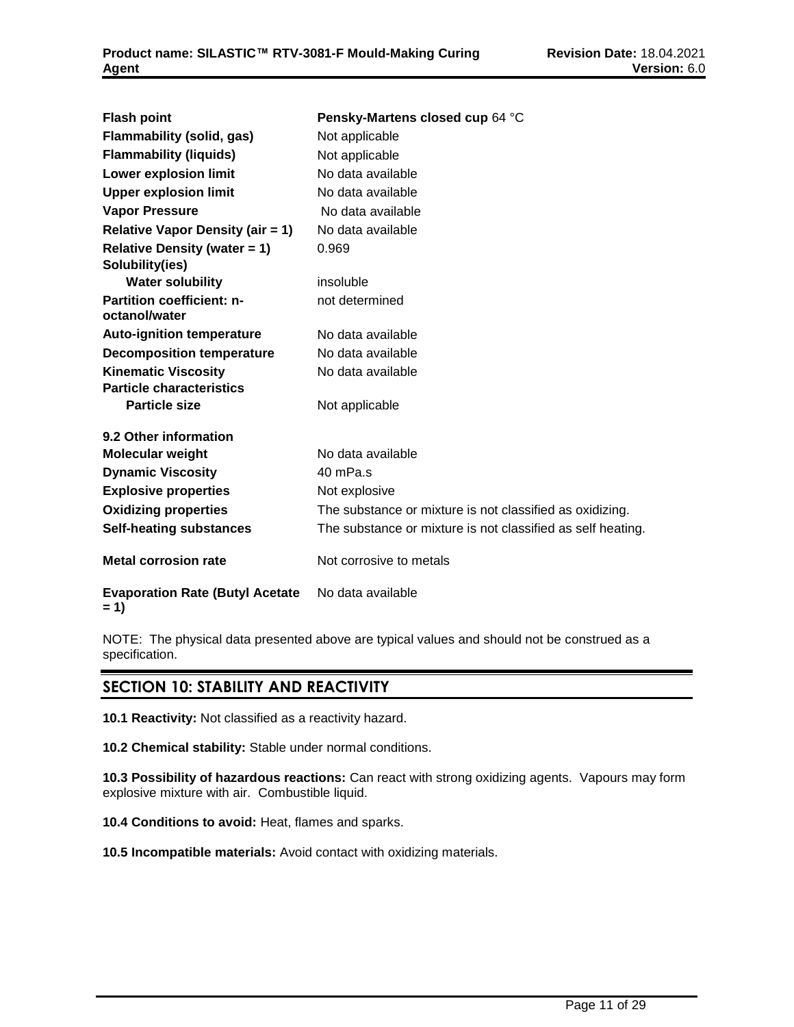| <b>Flash point</b>                                | Pensky-Martens closed cup 64 °C                             |
|---------------------------------------------------|-------------------------------------------------------------|
| <b>Flammability (solid, gas)</b>                  | Not applicable                                              |
| <b>Flammability (liquids)</b>                     | Not applicable                                              |
| <b>Lower explosion limit</b>                      | No data available                                           |
| <b>Upper explosion limit</b>                      | No data available                                           |
| <b>Vapor Pressure</b>                             | No data available                                           |
| <b>Relative Vapor Density (air = 1)</b>           | No data available                                           |
| <b>Relative Density (water = 1)</b>               | 0.969                                                       |
| Solubility(ies)                                   |                                                             |
| <b>Water solubility</b>                           | insoluble                                                   |
| <b>Partition coefficient: n-</b><br>octanol/water | not determined                                              |
| <b>Auto-ignition temperature</b>                  | No data available                                           |
| <b>Decomposition temperature</b>                  | No data available                                           |
| <b>Kinematic Viscosity</b>                        | No data available                                           |
| <b>Particle characteristics</b>                   |                                                             |
| <b>Particle size</b>                              | Not applicable                                              |
| 9.2 Other information                             |                                                             |
| <b>Molecular weight</b>                           | No data available                                           |
| <b>Dynamic Viscosity</b>                          | 40 mPa.s                                                    |
| <b>Explosive properties</b>                       | Not explosive                                               |
| <b>Oxidizing properties</b>                       | The substance or mixture is not classified as oxidizing.    |
| <b>Self-heating substances</b>                    | The substance or mixture is not classified as self heating. |
| <b>Metal corrosion rate</b>                       | Not corrosive to metals                                     |
| <b>Evaporation Rate (Butyl Acetate</b><br>$= 1$   | No data available                                           |

NOTE: The physical data presented above are typical values and should not be construed as a specification.

## **SECTION 10: STABILITY AND REACTIVITY**

**10.1 Reactivity:** Not classified as a reactivity hazard.

**10.2 Chemical stability:** Stable under normal conditions.

**10.3 Possibility of hazardous reactions:** Can react with strong oxidizing agents. Vapours may form explosive mixture with air. Combustible liquid.

**10.4 Conditions to avoid:** Heat, flames and sparks.

**10.5 Incompatible materials:** Avoid contact with oxidizing materials.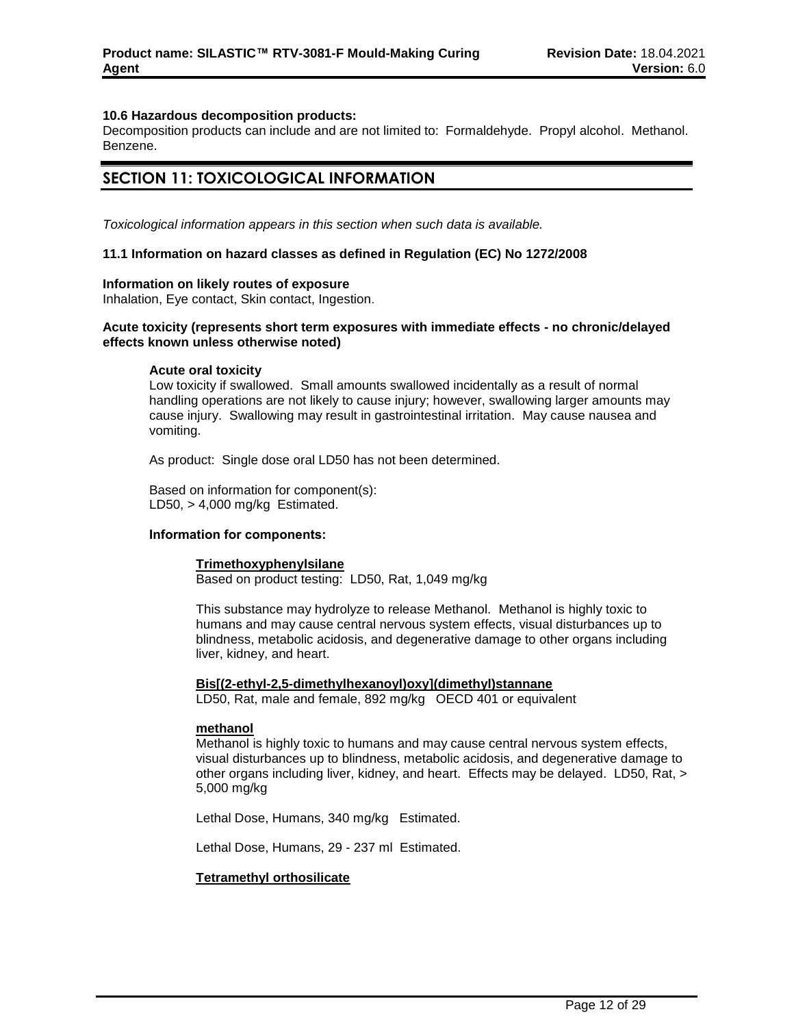## **10.6 Hazardous decomposition products:**

Decomposition products can include and are not limited to: Formaldehyde. Propyl alcohol. Methanol. Benzene.

## **SECTION 11: TOXICOLOGICAL INFORMATION**

*Toxicological information appears in this section when such data is available.*

#### **11.1 Information on hazard classes as defined in Regulation (EC) No 1272/2008**

#### **Information on likely routes of exposure**

Inhalation, Eye contact, Skin contact, Ingestion.

## **Acute toxicity (represents short term exposures with immediate effects - no chronic/delayed effects known unless otherwise noted)**

#### **Acute oral toxicity**

Low toxicity if swallowed. Small amounts swallowed incidentally as a result of normal handling operations are not likely to cause injury; however, swallowing larger amounts may cause injury. Swallowing may result in gastrointestinal irritation. May cause nausea and vomiting.

As product: Single dose oral LD50 has not been determined.

Based on information for component(s): LD50, > 4,000 mg/kg Estimated.

#### **Information for components:**

# **Trimethoxyphenylsilane**

Based on product testing: LD50, Rat, 1,049 mg/kg

This substance may hydrolyze to release Methanol. Methanol is highly toxic to humans and may cause central nervous system effects, visual disturbances up to blindness, metabolic acidosis, and degenerative damage to other organs including liver, kidney, and heart.

#### **Bis[(2-ethyl-2,5-dimethylhexanoyl)oxy](dimethyl)stannane**

LD50, Rat, male and female, 892 mg/kg OECD 401 or equivalent

#### **methanol**

Methanol is highly toxic to humans and may cause central nervous system effects, visual disturbances up to blindness, metabolic acidosis, and degenerative damage to other organs including liver, kidney, and heart. Effects may be delayed. LD50, Rat, > 5,000 mg/kg

Lethal Dose, Humans, 340 mg/kg Estimated.

Lethal Dose, Humans, 29 - 237 ml Estimated.

#### **Tetramethyl orthosilicate**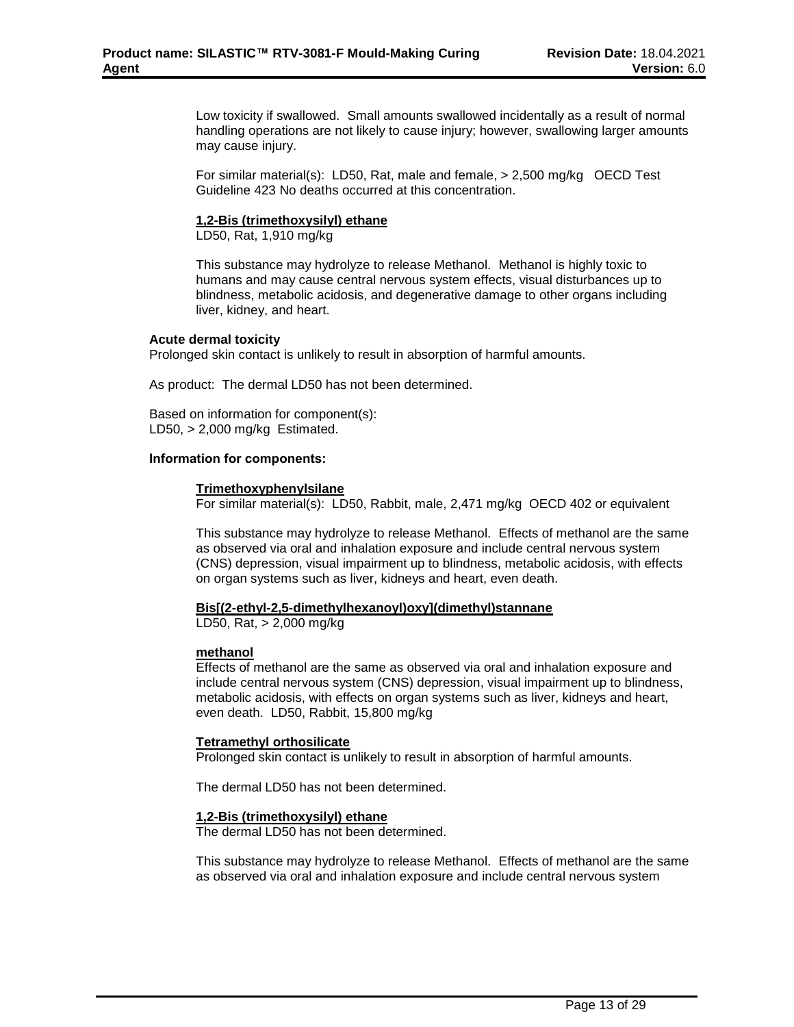Low toxicity if swallowed. Small amounts swallowed incidentally as a result of normal handling operations are not likely to cause injury; however, swallowing larger amounts may cause injury.

For similar material(s): LD50, Rat, male and female, > 2,500 mg/kg OECD Test Guideline 423 No deaths occurred at this concentration.

## **1,2-Bis (trimethoxysilyl) ethane**

LD50, Rat, 1,910 mg/kg

This substance may hydrolyze to release Methanol. Methanol is highly toxic to humans and may cause central nervous system effects, visual disturbances up to blindness, metabolic acidosis, and degenerative damage to other organs including liver, kidney, and heart.

## **Acute dermal toxicity**

Prolonged skin contact is unlikely to result in absorption of harmful amounts.

As product: The dermal LD50 has not been determined.

Based on information for component(s): LD50,  $> 2,000$  mg/kg Estimated.

#### **Information for components:**

#### **Trimethoxyphenylsilane**

For similar material(s): LD50, Rabbit, male, 2,471 mg/kg OECD 402 or equivalent

This substance may hydrolyze to release Methanol. Effects of methanol are the same as observed via oral and inhalation exposure and include central nervous system (CNS) depression, visual impairment up to blindness, metabolic acidosis, with effects on organ systems such as liver, kidneys and heart, even death.

#### **Bis[(2-ethyl-2,5-dimethylhexanoyl)oxy](dimethyl)stannane**

LD50, Rat, > 2,000 mg/kg

## **methanol**

Effects of methanol are the same as observed via oral and inhalation exposure and include central nervous system (CNS) depression, visual impairment up to blindness, metabolic acidosis, with effects on organ systems such as liver, kidneys and heart, even death. LD50, Rabbit, 15,800 mg/kg

## **Tetramethyl orthosilicate**

Prolonged skin contact is unlikely to result in absorption of harmful amounts.

The dermal LD50 has not been determined.

## **1,2-Bis (trimethoxysilyl) ethane**

The dermal LD50 has not been determined.

This substance may hydrolyze to release Methanol. Effects of methanol are the same as observed via oral and inhalation exposure and include central nervous system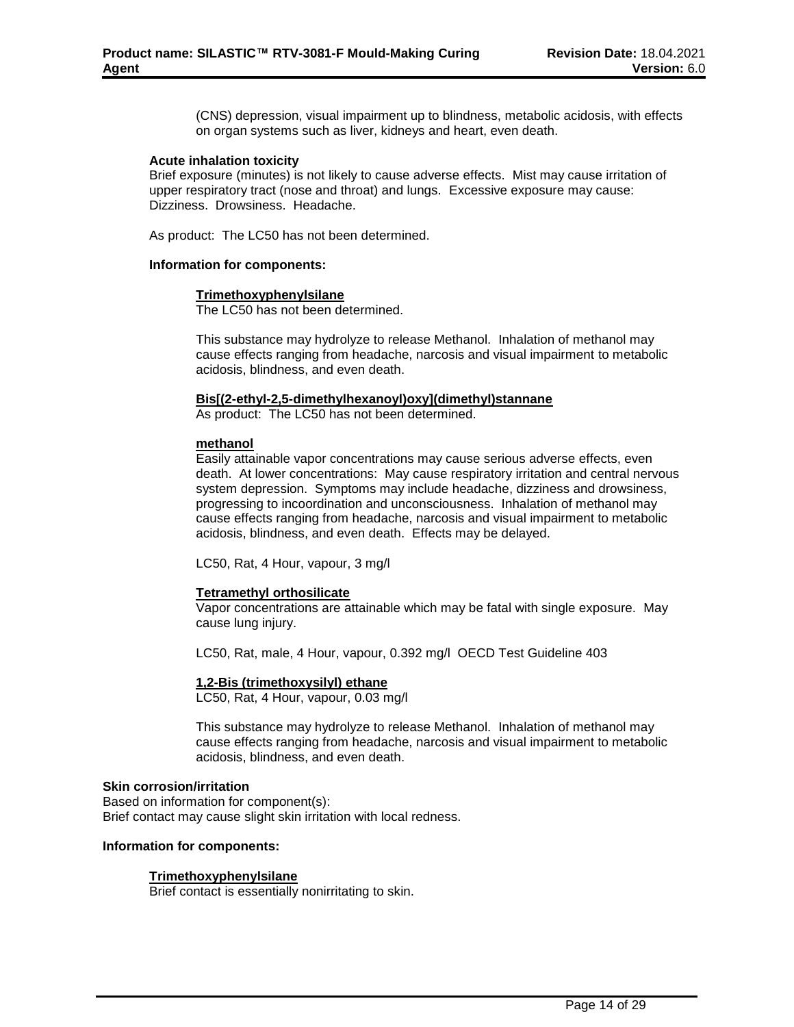(CNS) depression, visual impairment up to blindness, metabolic acidosis, with effects on organ systems such as liver, kidneys and heart, even death.

#### **Acute inhalation toxicity**

Brief exposure (minutes) is not likely to cause adverse effects. Mist may cause irritation of upper respiratory tract (nose and throat) and lungs. Excessive exposure may cause: Dizziness. Drowsiness. Headache.

As product: The LC50 has not been determined.

### **Information for components:**

#### **Trimethoxyphenylsilane**

The LC50 has not been determined.

This substance may hydrolyze to release Methanol. Inhalation of methanol may cause effects ranging from headache, narcosis and visual impairment to metabolic acidosis, blindness, and even death.

#### **Bis[(2-ethyl-2,5-dimethylhexanoyl)oxy](dimethyl)stannane**

As product: The LC50 has not been determined.

#### **methanol**

Easily attainable vapor concentrations may cause serious adverse effects, even death. At lower concentrations: May cause respiratory irritation and central nervous system depression. Symptoms may include headache, dizziness and drowsiness, progressing to incoordination and unconsciousness. Inhalation of methanol may cause effects ranging from headache, narcosis and visual impairment to metabolic acidosis, blindness, and even death. Effects may be delayed.

LC50, Rat, 4 Hour, vapour, 3 mg/l

## **Tetramethyl orthosilicate**

Vapor concentrations are attainable which may be fatal with single exposure. May cause lung injury.

LC50, Rat, male, 4 Hour, vapour, 0.392 mg/l OECD Test Guideline 403

#### **1,2-Bis (trimethoxysilyl) ethane**

LC50, Rat, 4 Hour, vapour, 0.03 mg/l

This substance may hydrolyze to release Methanol. Inhalation of methanol may cause effects ranging from headache, narcosis and visual impairment to metabolic acidosis, blindness, and even death.

#### **Skin corrosion/irritation**

Based on information for component(s): Brief contact may cause slight skin irritation with local redness.

#### **Information for components:**

## **Trimethoxyphenylsilane**

Brief contact is essentially nonirritating to skin.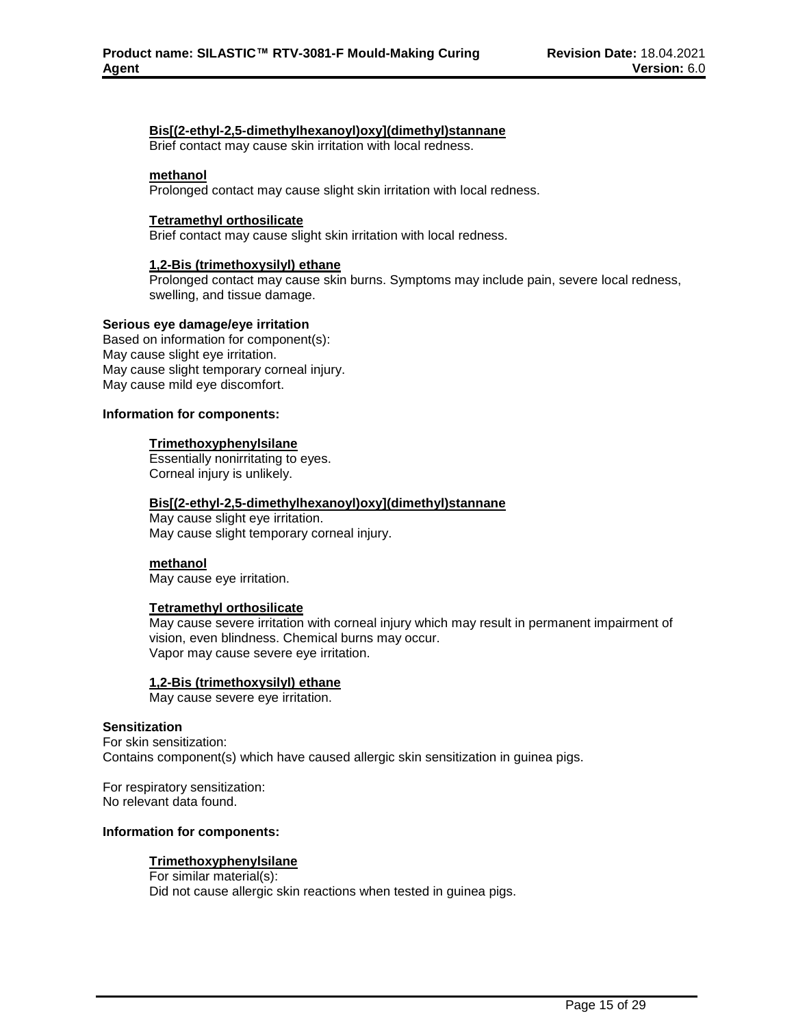### **Bis[(2-ethyl-2,5-dimethylhexanoyl)oxy](dimethyl)stannane**

Brief contact may cause skin irritation with local redness.

## **methanol**

Prolonged contact may cause slight skin irritation with local redness.

#### **Tetramethyl orthosilicate**

Brief contact may cause slight skin irritation with local redness.

#### **1,2-Bis (trimethoxysilyl) ethane**

Prolonged contact may cause skin burns. Symptoms may include pain, severe local redness, swelling, and tissue damage.

#### **Serious eye damage/eye irritation**

Based on information for component(s): May cause slight eye irritation. May cause slight temporary corneal injury. May cause mild eye discomfort.

#### **Information for components:**

#### **Trimethoxyphenylsilane**

Essentially nonirritating to eyes. Corneal injury is unlikely.

#### **Bis[(2-ethyl-2,5-dimethylhexanoyl)oxy](dimethyl)stannane**

May cause slight eye irritation. May cause slight temporary corneal injury.

#### **methanol**

May cause eye irritation.

#### **Tetramethyl orthosilicate**

May cause severe irritation with corneal injury which may result in permanent impairment of vision, even blindness. Chemical burns may occur. Vapor may cause severe eye irritation.

#### **1,2-Bis (trimethoxysilyl) ethane**

May cause severe eye irritation.

## **Sensitization**

For skin sensitization: Contains component(s) which have caused allergic skin sensitization in guinea pigs.

For respiratory sensitization: No relevant data found.

#### **Information for components:**

## **Trimethoxyphenylsilane**

For similar material(s): Did not cause allergic skin reactions when tested in guinea pigs.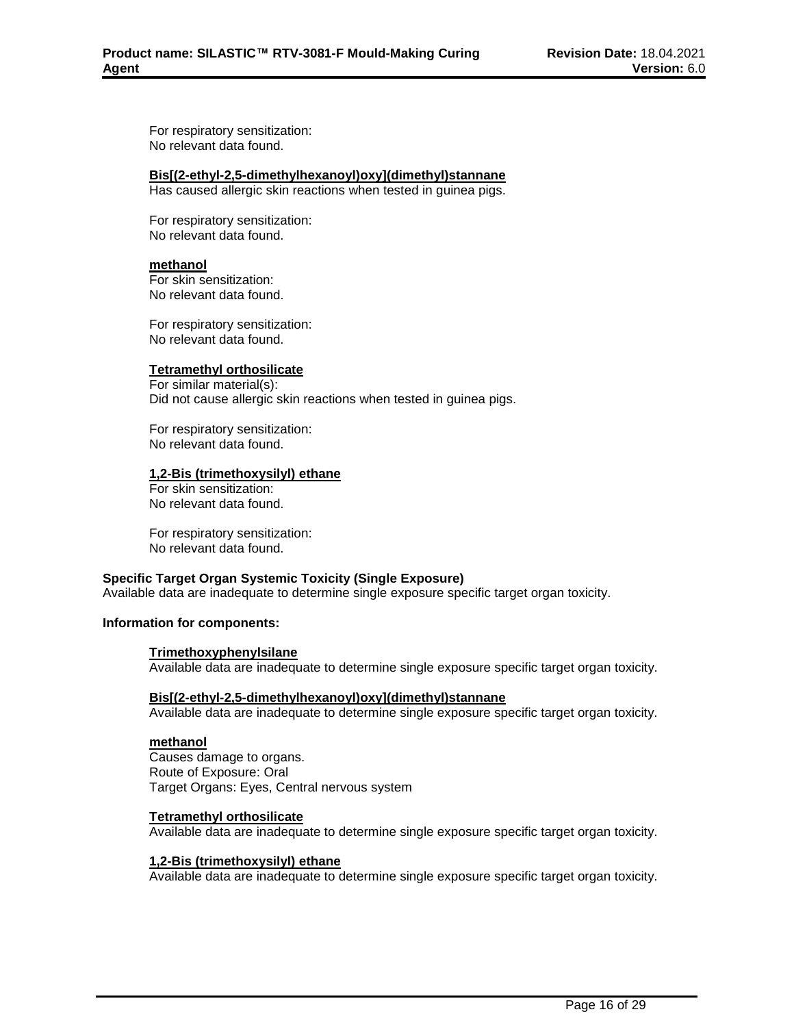For respiratory sensitization: No relevant data found.

## **Bis[(2-ethyl-2,5-dimethylhexanoyl)oxy](dimethyl)stannane**

Has caused allergic skin reactions when tested in guinea pigs.

For respiratory sensitization: No relevant data found.

## **methanol**

For skin sensitization: No relevant data found.

For respiratory sensitization: No relevant data found.

## **Tetramethyl orthosilicate**

For similar material(s): Did not cause allergic skin reactions when tested in guinea pigs.

For respiratory sensitization: No relevant data found.

## **1,2-Bis (trimethoxysilyl) ethane**

For skin sensitization: No relevant data found.

For respiratory sensitization: No relevant data found.

## **Specific Target Organ Systemic Toxicity (Single Exposure)**

Available data are inadequate to determine single exposure specific target organ toxicity.

## **Information for components:**

## **Trimethoxyphenylsilane**

Available data are inadequate to determine single exposure specific target organ toxicity.

## **Bis[(2-ethyl-2,5-dimethylhexanoyl)oxy](dimethyl)stannane**

Available data are inadequate to determine single exposure specific target organ toxicity.

## **methanol**

Causes damage to organs. Route of Exposure: Oral Target Organs: Eyes, Central nervous system

## **Tetramethyl orthosilicate**

Available data are inadequate to determine single exposure specific target organ toxicity.

## **1,2-Bis (trimethoxysilyl) ethane**

Available data are inadequate to determine single exposure specific target organ toxicity.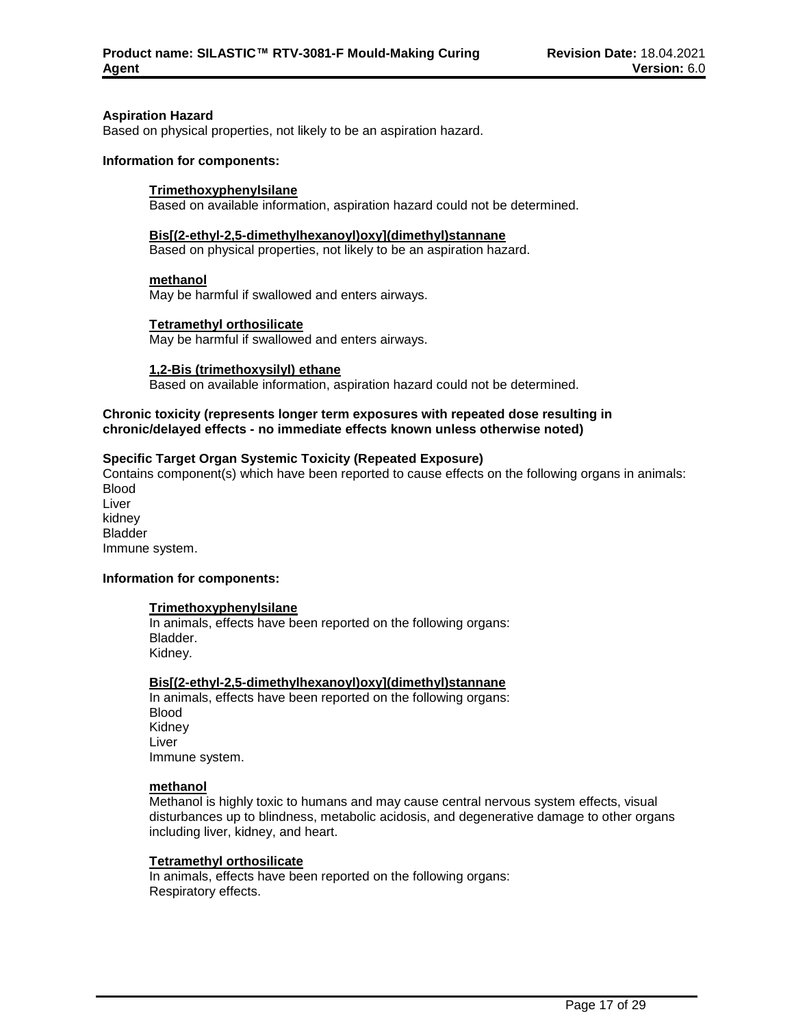#### **Aspiration Hazard**

Based on physical properties, not likely to be an aspiration hazard.

#### **Information for components:**

#### **Trimethoxyphenylsilane**

Based on available information, aspiration hazard could not be determined.

#### **Bis[(2-ethyl-2,5-dimethylhexanoyl)oxy](dimethyl)stannane**

Based on physical properties, not likely to be an aspiration hazard.

#### **methanol**

May be harmful if swallowed and enters airways.

#### **Tetramethyl orthosilicate**

May be harmful if swallowed and enters airways.

#### **1,2-Bis (trimethoxysilyl) ethane**

Based on available information, aspiration hazard could not be determined.

## **Chronic toxicity (represents longer term exposures with repeated dose resulting in chronic/delayed effects - no immediate effects known unless otherwise noted)**

## **Specific Target Organ Systemic Toxicity (Repeated Exposure)**

Contains component(s) which have been reported to cause effects on the following organs in animals: Blood Liver kidney Bladder Immune system.

#### **Information for components:**

#### **Trimethoxyphenylsilane**

In animals, effects have been reported on the following organs: Bladder. Kidney.

## **Bis[(2-ethyl-2,5-dimethylhexanoyl)oxy](dimethyl)stannane**

In animals, effects have been reported on the following organs: Blood Kidney Liver Immune system.

#### **methanol**

Methanol is highly toxic to humans and may cause central nervous system effects, visual disturbances up to blindness, metabolic acidosis, and degenerative damage to other organs including liver, kidney, and heart.

#### **Tetramethyl orthosilicate**

In animals, effects have been reported on the following organs: Respiratory effects.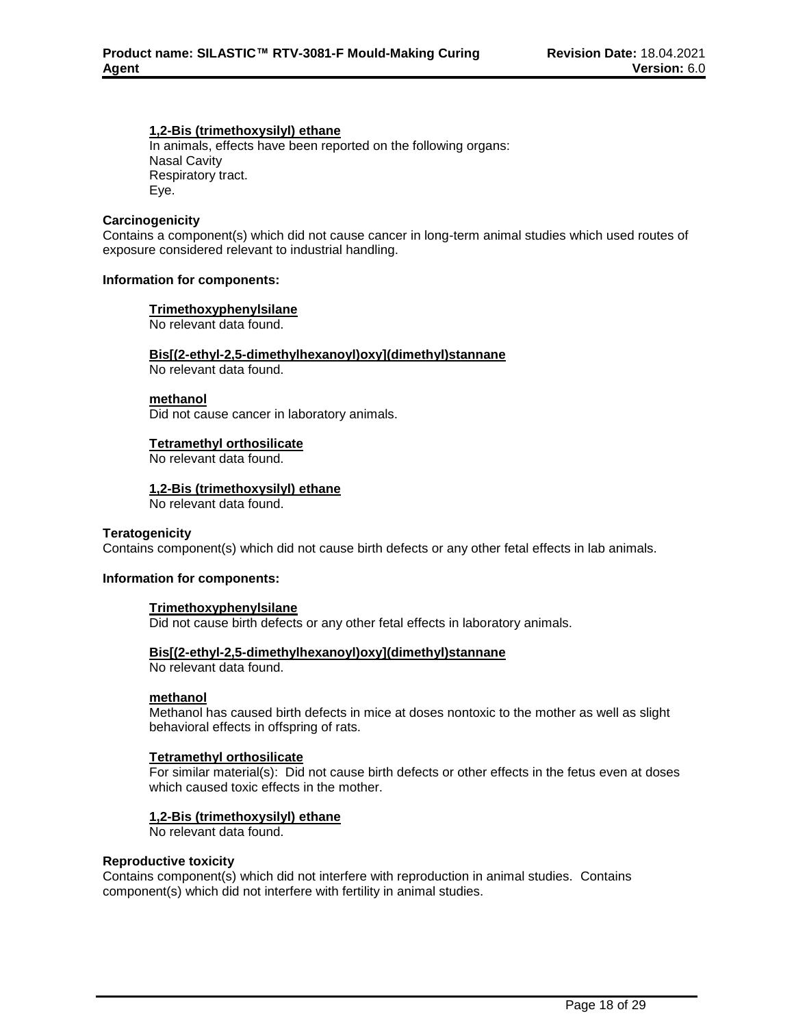### **1,2-Bis (trimethoxysilyl) ethane**

In animals, effects have been reported on the following organs: Nasal Cavity Respiratory tract. Eye.

#### **Carcinogenicity**

Contains a component(s) which did not cause cancer in long-term animal studies which used routes of exposure considered relevant to industrial handling.

#### **Information for components:**

#### **Trimethoxyphenylsilane**

No relevant data found.

#### **Bis[(2-ethyl-2,5-dimethylhexanoyl)oxy](dimethyl)stannane**

No relevant data found.

### **methanol**

Did not cause cancer in laboratory animals.

#### **Tetramethyl orthosilicate**

No relevant data found.

## **1,2-Bis (trimethoxysilyl) ethane**

No relevant data found.

## **Teratogenicity**

Contains component(s) which did not cause birth defects or any other fetal effects in lab animals.

## **Information for components:**

#### **Trimethoxyphenylsilane**

Did not cause birth defects or any other fetal effects in laboratory animals.

## **Bis[(2-ethyl-2,5-dimethylhexanoyl)oxy](dimethyl)stannane**

No relevant data found.

#### **methanol**

Methanol has caused birth defects in mice at doses nontoxic to the mother as well as slight behavioral effects in offspring of rats.

## **Tetramethyl orthosilicate**

For similar material(s): Did not cause birth defects or other effects in the fetus even at doses which caused toxic effects in the mother.

## **1,2-Bis (trimethoxysilyl) ethane**

No relevant data found.

#### **Reproductive toxicity**

Contains component(s) which did not interfere with reproduction in animal studies. Contains component(s) which did not interfere with fertility in animal studies.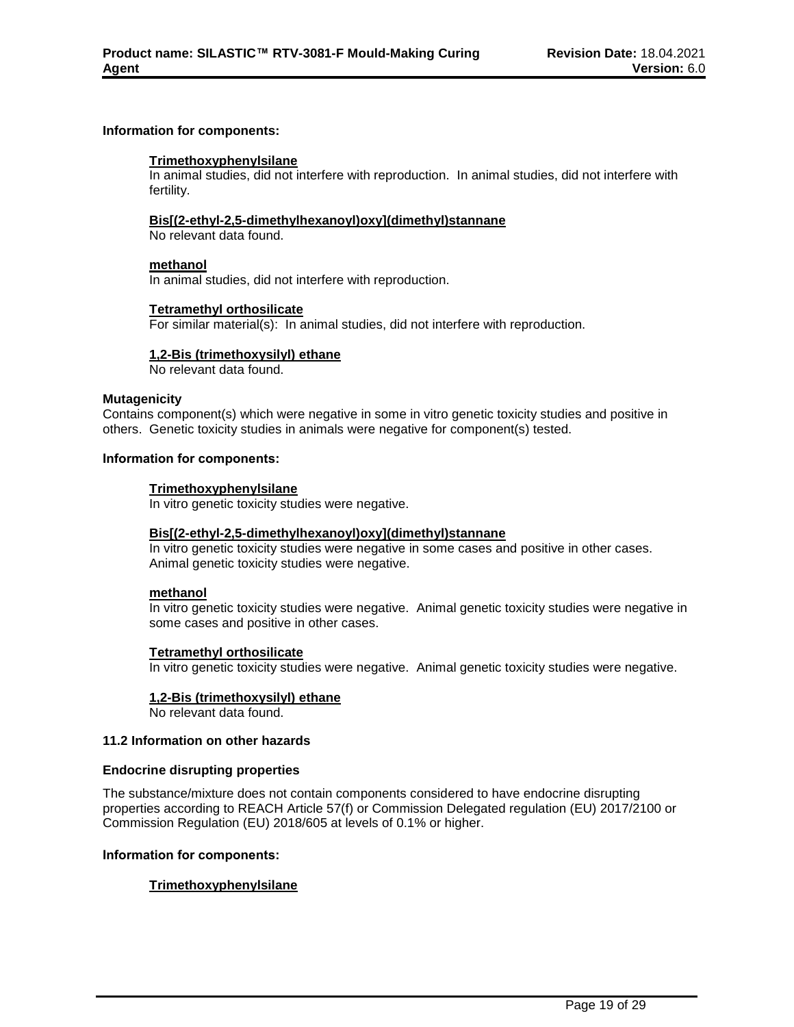## **Information for components:**

#### **Trimethoxyphenylsilane**

In animal studies, did not interfere with reproduction. In animal studies, did not interfere with fertility.

#### **Bis[(2-ethyl-2,5-dimethylhexanoyl)oxy](dimethyl)stannane**

No relevant data found.

### **methanol**

In animal studies, did not interfere with reproduction.

#### **Tetramethyl orthosilicate**

For similar material(s): In animal studies, did not interfere with reproduction.

## **1,2-Bis (trimethoxysilyl) ethane**

No relevant data found.

### **Mutagenicity**

Contains component(s) which were negative in some in vitro genetic toxicity studies and positive in others. Genetic toxicity studies in animals were negative for component(s) tested.

#### **Information for components:**

## **Trimethoxyphenylsilane**

In vitro genetic toxicity studies were negative.

#### **Bis[(2-ethyl-2,5-dimethylhexanoyl)oxy](dimethyl)stannane**

In vitro genetic toxicity studies were negative in some cases and positive in other cases. Animal genetic toxicity studies were negative.

### **methanol**

In vitro genetic toxicity studies were negative. Animal genetic toxicity studies were negative in some cases and positive in other cases.

#### **Tetramethyl orthosilicate**

In vitro genetic toxicity studies were negative. Animal genetic toxicity studies were negative.

#### **1,2-Bis (trimethoxysilyl) ethane**

No relevant data found.

### **11.2 Information on other hazards**

#### **Endocrine disrupting properties**

The substance/mixture does not contain components considered to have endocrine disrupting properties according to REACH Article 57(f) or Commission Delegated regulation (EU) 2017/2100 or Commission Regulation (EU) 2018/605 at levels of 0.1% or higher.

#### **Information for components:**

## **Trimethoxyphenylsilane**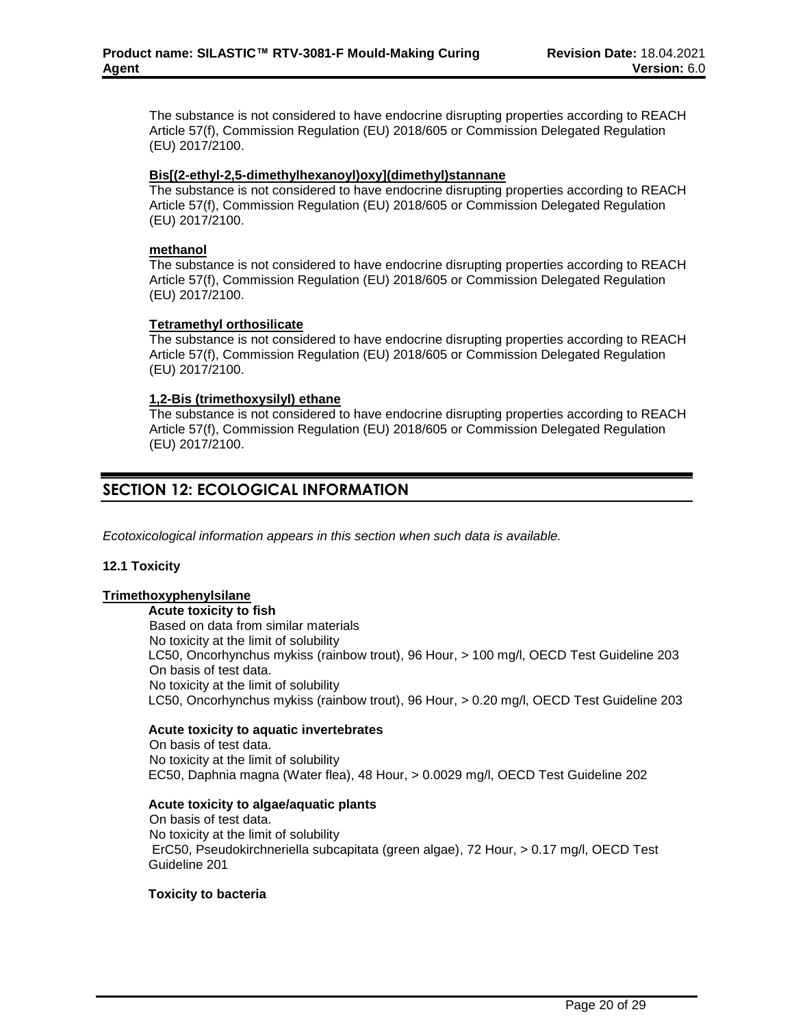The substance is not considered to have endocrine disrupting properties according to REACH Article 57(f), Commission Regulation (EU) 2018/605 or Commission Delegated Regulation (EU) 2017/2100.

## **Bis[(2-ethyl-2,5-dimethylhexanoyl)oxy](dimethyl)stannane**

The substance is not considered to have endocrine disrupting properties according to REACH Article 57(f), Commission Regulation (EU) 2018/605 or Commission Delegated Regulation (EU) 2017/2100.

## **methanol**

The substance is not considered to have endocrine disrupting properties according to REACH Article 57(f), Commission Regulation (EU) 2018/605 or Commission Delegated Regulation (EU) 2017/2100.

## **Tetramethyl orthosilicate**

The substance is not considered to have endocrine disrupting properties according to REACH Article 57(f), Commission Regulation (EU) 2018/605 or Commission Delegated Regulation (EU) 2017/2100.

## **1,2-Bis (trimethoxysilyl) ethane**

The substance is not considered to have endocrine disrupting properties according to REACH Article 57(f), Commission Regulation (EU) 2018/605 or Commission Delegated Regulation (EU) 2017/2100.

## **SECTION 12: ECOLOGICAL INFORMATION**

*Ecotoxicological information appears in this section when such data is available.*

## **12.1 Toxicity**

## **Trimethoxyphenylsilane**

**Acute toxicity to fish** Based on data from similar materials No toxicity at the limit of solubility LC50, Oncorhynchus mykiss (rainbow trout), 96 Hour, > 100 mg/l, OECD Test Guideline 203 On basis of test data. No toxicity at the limit of solubility LC50, Oncorhynchus mykiss (rainbow trout), 96 Hour, > 0.20 mg/l, OECD Test Guideline 203

## **Acute toxicity to aquatic invertebrates**

On basis of test data. No toxicity at the limit of solubility EC50, Daphnia magna (Water flea), 48 Hour, > 0.0029 mg/l, OECD Test Guideline 202

## **Acute toxicity to algae/aquatic plants**

On basis of test data. No toxicity at the limit of solubility ErC50, Pseudokirchneriella subcapitata (green algae), 72 Hour, > 0.17 mg/l, OECD Test Guideline 201

## **Toxicity to bacteria**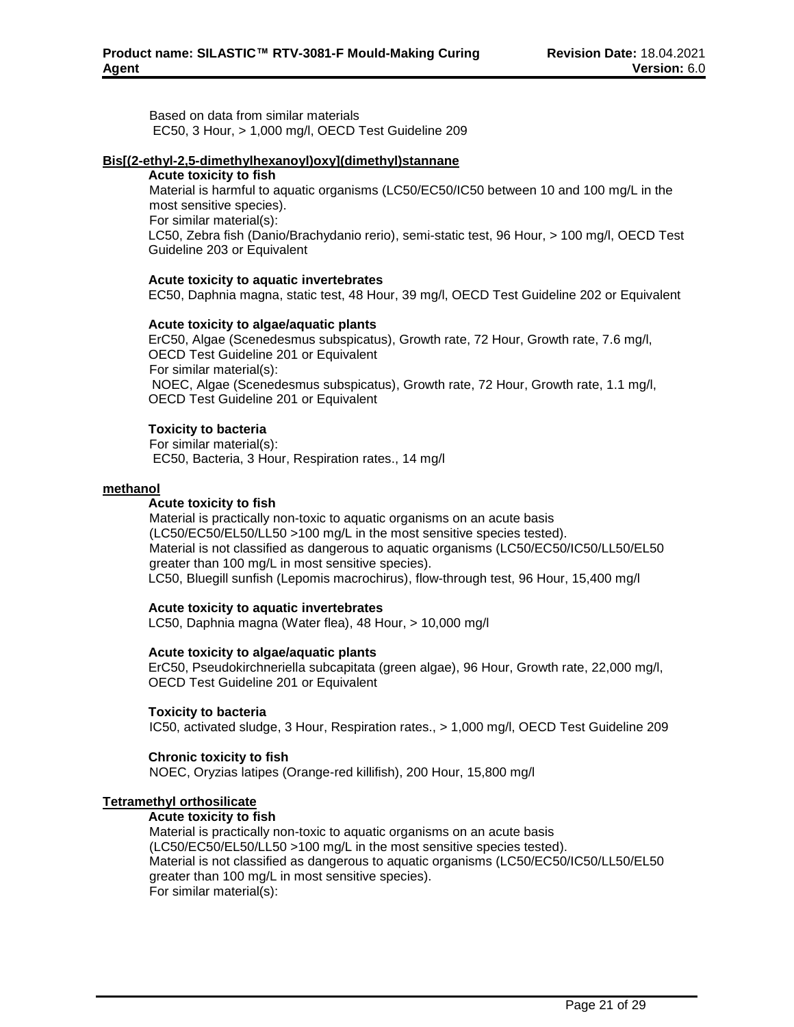Based on data from similar materials EC50, 3 Hour, > 1,000 mg/l, OECD Test Guideline 209

### **Bis[(2-ethyl-2,5-dimethylhexanoyl)oxy](dimethyl)stannane**

#### **Acute toxicity to fish**

Material is harmful to aquatic organisms (LC50/EC50/IC50 between 10 and 100 mg/L in the most sensitive species).

For similar material(s):

LC50, Zebra fish (Danio/Brachydanio rerio), semi-static test, 96 Hour, > 100 mg/l, OECD Test Guideline 203 or Equivalent

#### **Acute toxicity to aquatic invertebrates**

EC50, Daphnia magna, static test, 48 Hour, 39 mg/l, OECD Test Guideline 202 or Equivalent

#### **Acute toxicity to algae/aquatic plants**

ErC50, Algae (Scenedesmus subspicatus), Growth rate, 72 Hour, Growth rate, 7.6 mg/l, OECD Test Guideline 201 or Equivalent For similar material(s): NOEC, Algae (Scenedesmus subspicatus), Growth rate, 72 Hour, Growth rate, 1.1 mg/l, OECD Test Guideline 201 or Equivalent

## **Toxicity to bacteria**

For similar material(s): EC50, Bacteria, 3 Hour, Respiration rates., 14 mg/l

#### **methanol**

#### **Acute toxicity to fish**

Material is practically non-toxic to aquatic organisms on an acute basis (LC50/EC50/EL50/LL50 >100 mg/L in the most sensitive species tested). Material is not classified as dangerous to aquatic organisms (LC50/EC50/IC50/LL50/EL50 greater than 100 mg/L in most sensitive species). LC50, Bluegill sunfish (Lepomis macrochirus), flow-through test, 96 Hour, 15,400 mg/l

#### **Acute toxicity to aquatic invertebrates**

LC50, Daphnia magna (Water flea), 48 Hour, > 10,000 mg/l

## **Acute toxicity to algae/aquatic plants**

ErC50, Pseudokirchneriella subcapitata (green algae), 96 Hour, Growth rate, 22,000 mg/l, OECD Test Guideline 201 or Equivalent

## **Toxicity to bacteria**

IC50, activated sludge, 3 Hour, Respiration rates., > 1,000 mg/l, OECD Test Guideline 209

## **Chronic toxicity to fish**

NOEC, Oryzias latipes (Orange-red killifish), 200 Hour, 15,800 mg/l

## **Tetramethyl orthosilicate**

## **Acute toxicity to fish**

Material is practically non-toxic to aquatic organisms on an acute basis (LC50/EC50/EL50/LL50 >100 mg/L in the most sensitive species tested). Material is not classified as dangerous to aquatic organisms (LC50/EC50/IC50/LL50/EL50 greater than 100 mg/L in most sensitive species). For similar material(s):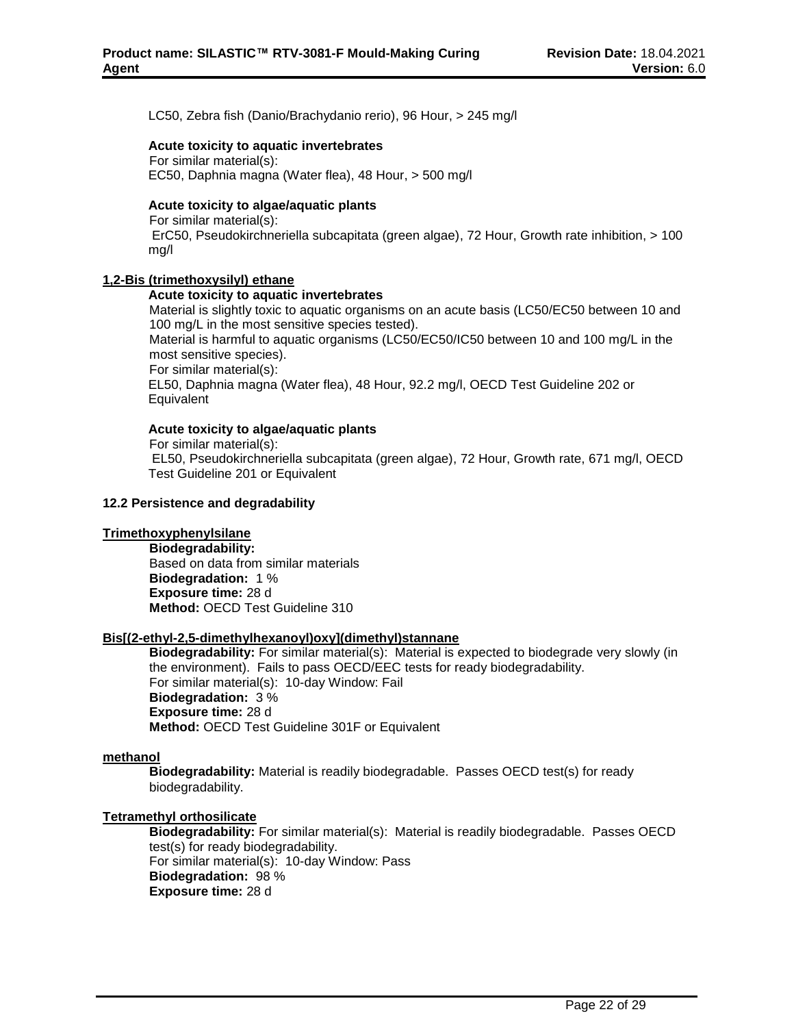LC50, Zebra fish (Danio/Brachydanio rerio), 96 Hour, > 245 mg/l

#### **Acute toxicity to aquatic invertebrates**

For similar material(s):

EC50, Daphnia magna (Water flea), 48 Hour, > 500 mg/l

## **Acute toxicity to algae/aquatic plants**

For similar material(s):

ErC50, Pseudokirchneriella subcapitata (green algae), 72 Hour, Growth rate inhibition, > 100 mg/l

### **1,2-Bis (trimethoxysilyl) ethane**

#### **Acute toxicity to aquatic invertebrates**

Material is slightly toxic to aquatic organisms on an acute basis (LC50/EC50 between 10 and 100 mg/L in the most sensitive species tested).

Material is harmful to aquatic organisms (LC50/EC50/IC50 between 10 and 100 mg/L in the most sensitive species).

For similar material(s):

EL50, Daphnia magna (Water flea), 48 Hour, 92.2 mg/l, OECD Test Guideline 202 or **Equivalent** 

## **Acute toxicity to algae/aquatic plants**

For similar material(s): EL50, Pseudokirchneriella subcapitata (green algae), 72 Hour, Growth rate, 671 mg/l, OECD Test Guideline 201 or Equivalent

#### **12.2 Persistence and degradability**

#### **Trimethoxyphenylsilane**

**Biodegradability:** Based on data from similar materials **Biodegradation:** 1 % **Exposure time:** 28 d **Method:** OECD Test Guideline 310

## **Bis[(2-ethyl-2,5-dimethylhexanoyl)oxy](dimethyl)stannane**

**Biodegradability:** For similar material(s): Material is expected to biodegrade very slowly (in the environment). Fails to pass OECD/EEC tests for ready biodegradability. For similar material(s): 10-day Window: Fail **Biodegradation:** 3 % **Exposure time:** 28 d **Method:** OECD Test Guideline 301F or Equivalent

#### **methanol**

**Biodegradability:** Material is readily biodegradable. Passes OECD test(s) for ready biodegradability.

## **Tetramethyl orthosilicate**

**Biodegradability:** For similar material(s): Material is readily biodegradable. Passes OECD test(s) for ready biodegradability. For similar material(s): 10-day Window: Pass **Biodegradation:** 98 % **Exposure time:** 28 d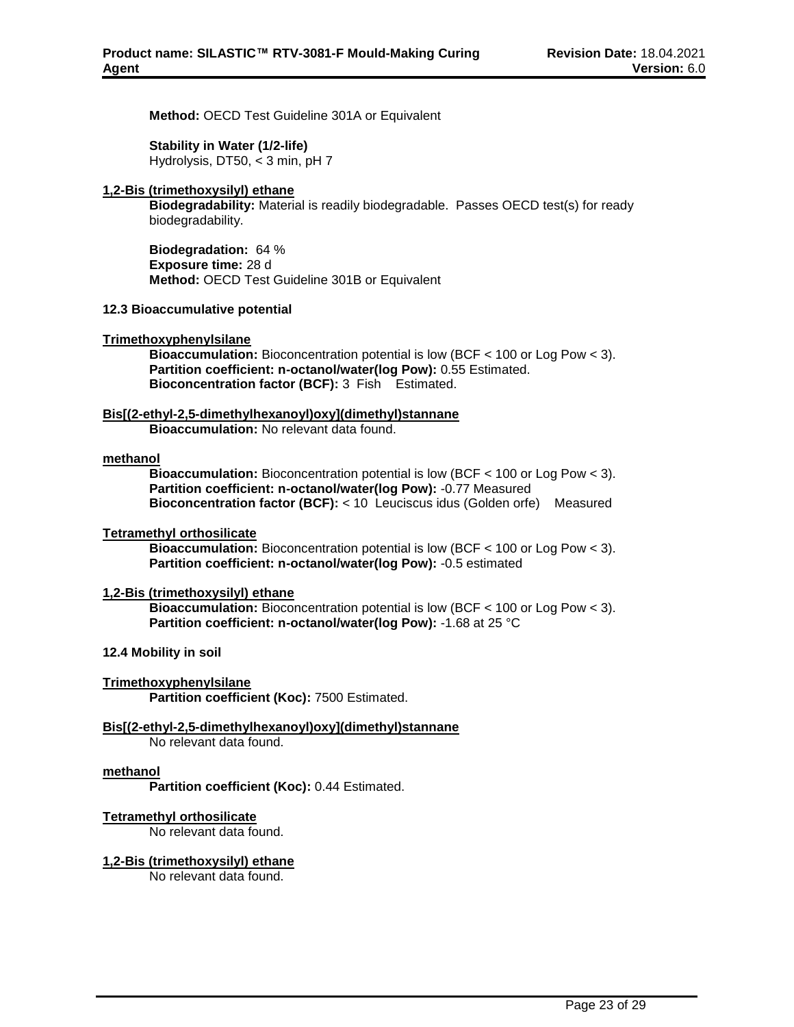**Method:** OECD Test Guideline 301A or Equivalent

### **Stability in Water (1/2-life)**

Hydrolysis, DT50, < 3 min, pH 7

### **1,2-Bis (trimethoxysilyl) ethane**

**Biodegradability:** Material is readily biodegradable. Passes OECD test(s) for ready biodegradability.

**Biodegradation:** 64 % **Exposure time:** 28 d **Method:** OECD Test Guideline 301B or Equivalent

#### **12.3 Bioaccumulative potential**

#### **Trimethoxyphenylsilane**

**Bioaccumulation:** Bioconcentration potential is low (BCF < 100 or Log Pow < 3). **Partition coefficient: n-octanol/water(log Pow):** 0.55 Estimated. **Bioconcentration factor (BCF):** 3 Fish Estimated.

## **Bis[(2-ethyl-2,5-dimethylhexanoyl)oxy](dimethyl)stannane**

**Bioaccumulation:** No relevant data found.

#### **methanol**

**Bioaccumulation:** Bioconcentration potential is low (BCF < 100 or Log Pow < 3). **Partition coefficient: n-octanol/water(log Pow):** -0.77 Measured **Bioconcentration factor (BCF):** < 10 Leuciscus idus (Golden orfe) Measured

#### **Tetramethyl orthosilicate**

**Bioaccumulation:** Bioconcentration potential is low (BCF < 100 or Log Pow < 3). **Partition coefficient: n-octanol/water(log Pow):** -0.5 estimated

### **1,2-Bis (trimethoxysilyl) ethane**

**Bioaccumulation:** Bioconcentration potential is low (BCF < 100 or Log Pow < 3). **Partition coefficient: n-octanol/water(log Pow):** -1.68 at 25 °C

## **12.4 Mobility in soil**

#### **Trimethoxyphenylsilane**

**Partition coefficient (Koc):** 7500 Estimated.

## **Bis[(2-ethyl-2,5-dimethylhexanoyl)oxy](dimethyl)stannane**

No relevant data found.

#### **methanol**

**Partition coefficient (Koc):** 0.44 Estimated.

## **Tetramethyl orthosilicate**

No relevant data found.

#### **1,2-Bis (trimethoxysilyl) ethane**

No relevant data found.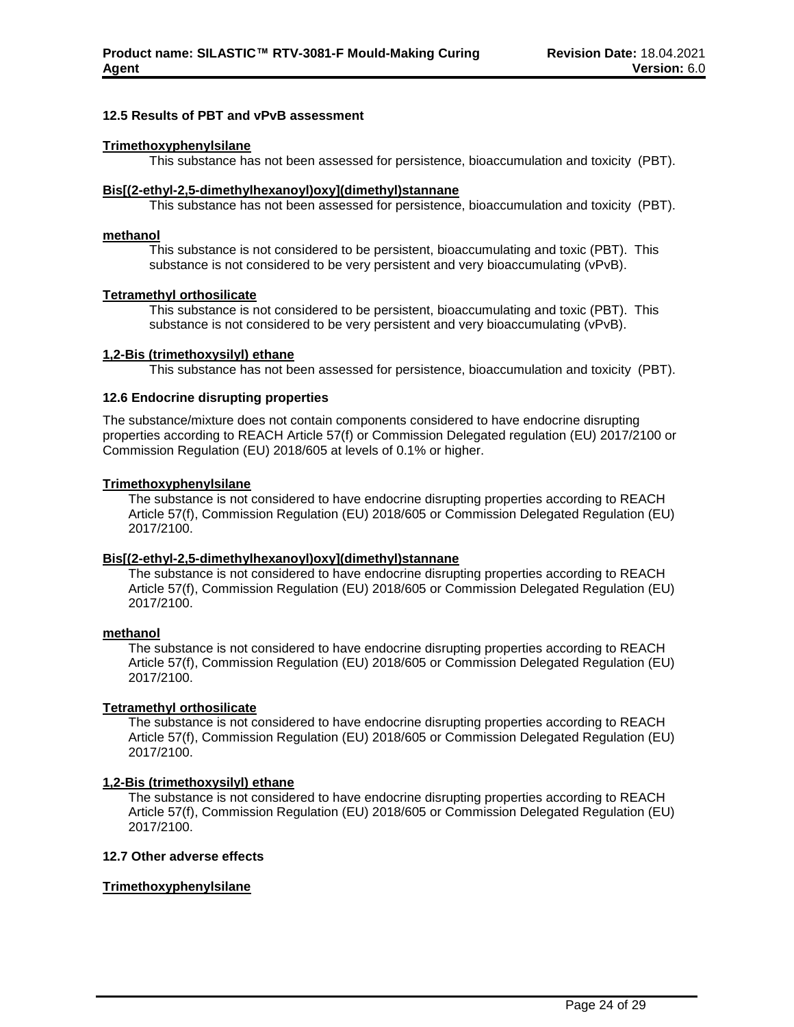#### **12.5 Results of PBT and vPvB assessment**

### **Trimethoxyphenylsilane**

This substance has not been assessed for persistence, bioaccumulation and toxicity (PBT).

#### **Bis[(2-ethyl-2,5-dimethylhexanoyl)oxy](dimethyl)stannane**

This substance has not been assessed for persistence, bioaccumulation and toxicity (PBT).

### **methanol**

This substance is not considered to be persistent, bioaccumulating and toxic (PBT). This substance is not considered to be very persistent and very bioaccumulating (vPvB).

#### **Tetramethyl orthosilicate**

This substance is not considered to be persistent, bioaccumulating and toxic (PBT). This substance is not considered to be very persistent and very bioaccumulating (vPvB).

#### **1,2-Bis (trimethoxysilyl) ethane**

This substance has not been assessed for persistence, bioaccumulation and toxicity (PBT).

### **12.6 Endocrine disrupting properties**

The substance/mixture does not contain components considered to have endocrine disrupting properties according to REACH Article 57(f) or Commission Delegated regulation (EU) 2017/2100 or Commission Regulation (EU) 2018/605 at levels of 0.1% or higher.

#### **Trimethoxyphenylsilane**

The substance is not considered to have endocrine disrupting properties according to REACH Article 57(f), Commission Regulation (EU) 2018/605 or Commission Delegated Regulation (EU) 2017/2100.

#### **Bis[(2-ethyl-2,5-dimethylhexanoyl)oxy](dimethyl)stannane**

The substance is not considered to have endocrine disrupting properties according to REACH Article 57(f), Commission Regulation (EU) 2018/605 or Commission Delegated Regulation (EU) 2017/2100.

#### **methanol**

The substance is not considered to have endocrine disrupting properties according to REACH Article 57(f), Commission Regulation (EU) 2018/605 or Commission Delegated Regulation (EU) 2017/2100.

## **Tetramethyl orthosilicate**

The substance is not considered to have endocrine disrupting properties according to REACH Article 57(f), Commission Regulation (EU) 2018/605 or Commission Delegated Regulation (EU) 2017/2100.

## **1,2-Bis (trimethoxysilyl) ethane**

The substance is not considered to have endocrine disrupting properties according to REACH Article 57(f), Commission Regulation (EU) 2018/605 or Commission Delegated Regulation (EU) 2017/2100.

## **12.7 Other adverse effects**

## **Trimethoxyphenylsilane**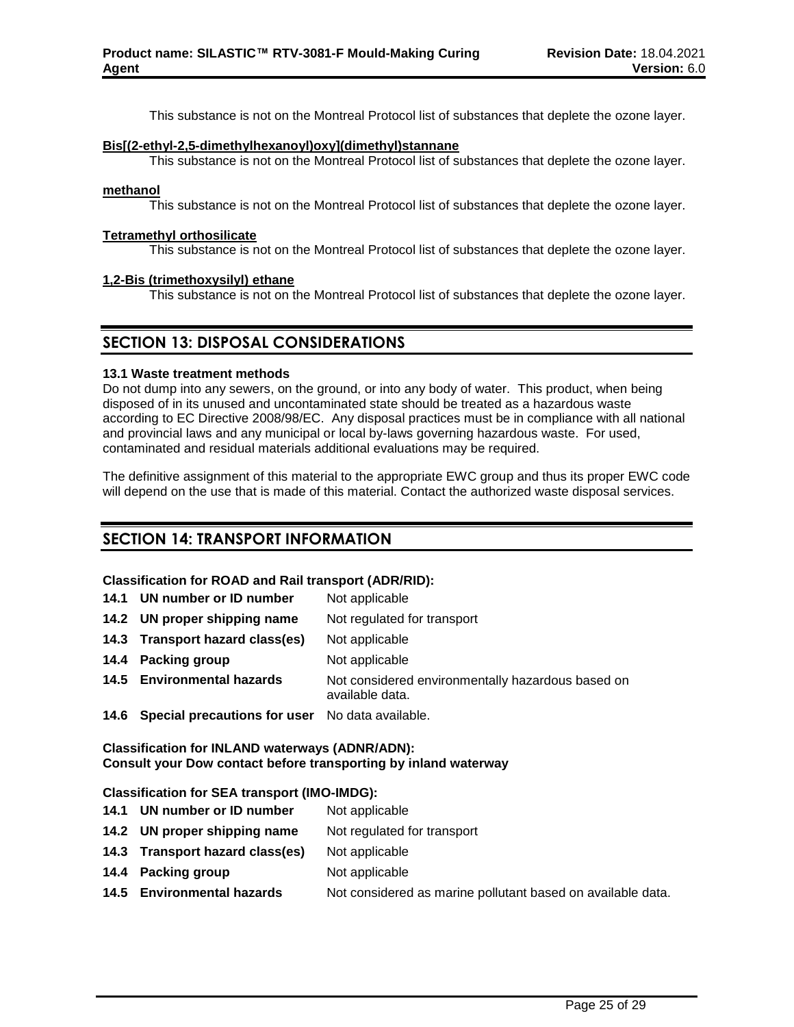This substance is not on the Montreal Protocol list of substances that deplete the ozone layer.

### **Bis[(2-ethyl-2,5-dimethylhexanoyl)oxy](dimethyl)stannane**

This substance is not on the Montreal Protocol list of substances that deplete the ozone layer.

### **methanol**

This substance is not on the Montreal Protocol list of substances that deplete the ozone layer.

#### **Tetramethyl orthosilicate**

This substance is not on the Montreal Protocol list of substances that deplete the ozone layer.

#### **1,2-Bis (trimethoxysilyl) ethane**

This substance is not on the Montreal Protocol list of substances that deplete the ozone layer.

## **SECTION 13: DISPOSAL CONSIDERATIONS**

#### **13.1 Waste treatment methods**

Do not dump into any sewers, on the ground, or into any body of water. This product, when being disposed of in its unused and uncontaminated state should be treated as a hazardous waste according to EC Directive 2008/98/EC. Any disposal practices must be in compliance with all national and provincial laws and any municipal or local by-laws governing hazardous waste. For used, contaminated and residual materials additional evaluations may be required.

The definitive assignment of this material to the appropriate EWC group and thus its proper EWC code will depend on the use that is made of this material. Contact the authorized waste disposal services.

## **SECTION 14: TRANSPORT INFORMATION**

## **Classification for ROAD and Rail transport (ADR/RID):**

| 011001110111011101 110710 11111 11111 1111100011 17101111071 |                                                   |  |  |  |  |
|--------------------------------------------------------------|---------------------------------------------------|--|--|--|--|
| 14.1 UN number or ID number                                  | Not applicable                                    |  |  |  |  |
| 14.2 UN proper shipping name                                 | Not regulated for transport                       |  |  |  |  |
| 14.3 Transport hazard class(es)                              | Not applicable                                    |  |  |  |  |
| 14.4 Packing group                                           | Not applicable                                    |  |  |  |  |
| 14.5 Environmental hazards                                   | Not considered environmentally hazardous based on |  |  |  |  |

available data.

**14.6 Special precautions for user** No data available.

**Classification for INLAND waterways (ADNR/ADN): Consult your Dow contact before transporting by inland waterway**

## **Classification for SEA transport (IMO-IMDG):**

- **14.1 UN number or ID number** Not applicable
- **14.2 UN proper shipping name** Not regulated for transport
- **14.3 Transport hazard class(es)** Not applicable
- **14.4 Packing group** Not applicable
- **14.5 Environmental hazards** Not considered as marine pollutant based on available data.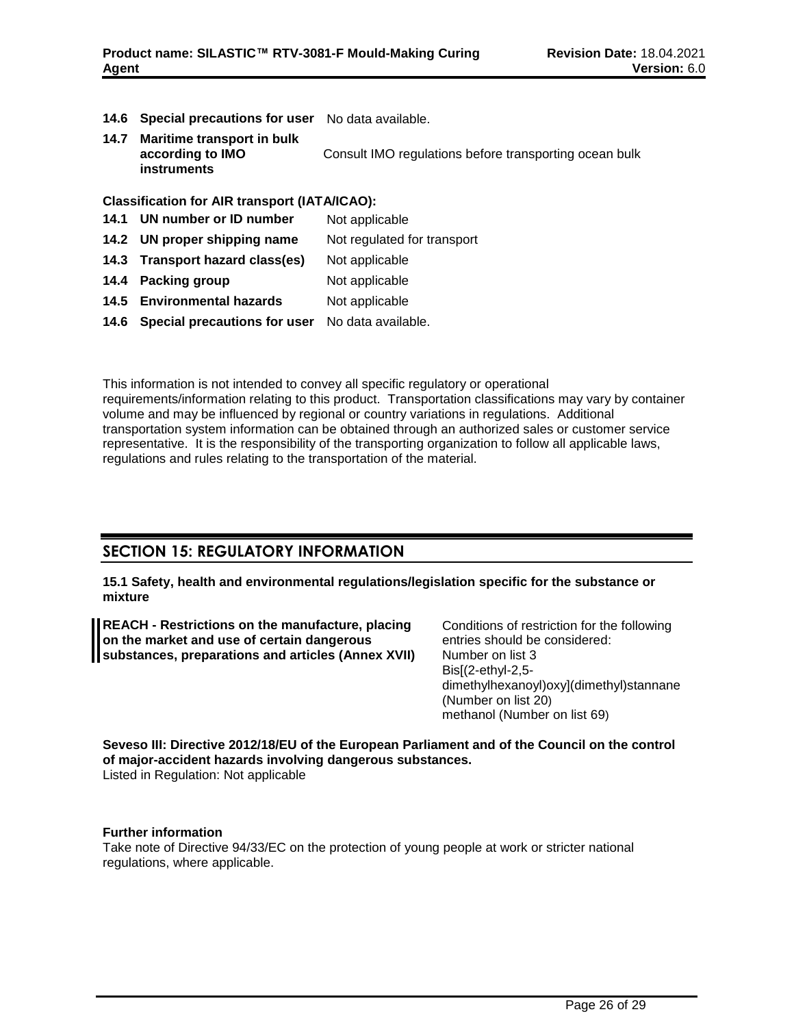- **14.6 Special precautions for user** No data available.
- **14.7 Maritime transport in bulk according to IMO instruments** Consult IMO regulations before transporting ocean bulk

## **Classification for AIR transport (IATA/ICAO):**

- **14.1 UN number or ID number** Not applicable
- **14.2 UN proper shipping name** Not regulated for transport
- **14.3 Transport hazard class(es)** Not applicable
- **14.4 Packing group** Not applicable
- 14.5 **Environmental hazards** Not applicable
- **14.6 Special precautions for user** No data available.

This information is not intended to convey all specific regulatory or operational requirements/information relating to this product. Transportation classifications may vary by container volume and may be influenced by regional or country variations in regulations. Additional transportation system information can be obtained through an authorized sales or customer service representative. It is the responsibility of the transporting organization to follow all applicable laws, regulations and rules relating to the transportation of the material.

## **SECTION 15: REGULATORY INFORMATION**

**15.1 Safety, health and environmental regulations/legislation specific for the substance or mixture**

**REACH - Restrictions on the manufacture, placing on the market and use of certain dangerous substances, preparations and articles (Annex XVII)** Conditions of restriction for the following entries should be considered: Number on list 3 Bis[(2-ethyl-2,5 dimethylhexanoyl)oxy](dimethyl)stannane (Number on list 20) methanol (Number on list 69)

**Seveso III: Directive 2012/18/EU of the European Parliament and of the Council on the control of major-accident hazards involving dangerous substances.** Listed in Regulation: Not applicable

#### **Further information**

Take note of Directive 94/33/EC on the protection of young people at work or stricter national regulations, where applicable.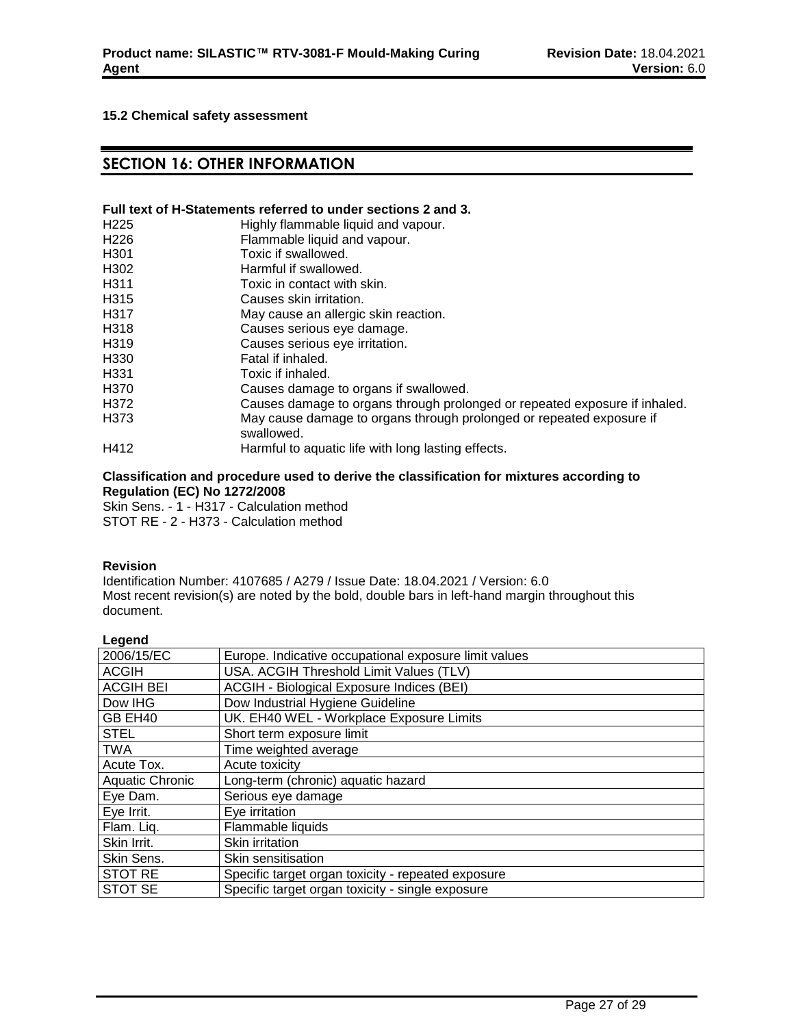## **15.2 Chemical safety assessment**

## **SECTION 16: OTHER INFORMATION**

#### **Full text of H-Statements referred to under sections 2 and 3.**

| H <sub>225</sub>  | Highly flammable liquid and vapour.                                                |
|-------------------|------------------------------------------------------------------------------------|
| H <sub>226</sub>  | Flammable liquid and vapour.                                                       |
| H <sub>301</sub>  | Toxic if swallowed.                                                                |
| H <sub>302</sub>  | Harmful if swallowed.                                                              |
| H <sub>311</sub>  | Toxic in contact with skin.                                                        |
| H <sub>315</sub>  | Causes skin irritation.                                                            |
| H317              | May cause an allergic skin reaction.                                               |
| H318              | Causes serious eye damage.                                                         |
| H <sub>3</sub> 19 | Causes serious eye irritation.                                                     |
| H <sub>330</sub>  | Fatal if inhaled.                                                                  |
| H <sub>331</sub>  | Toxic if inhaled.                                                                  |
| H370              | Causes damage to organs if swallowed.                                              |
| H372              | Causes damage to organs through prolonged or repeated exposure if inhaled.         |
| H373              | May cause damage to organs through prolonged or repeated exposure if<br>swallowed. |
| H412              | Harmful to aquatic life with long lasting effects.                                 |

### **Classification and procedure used to derive the classification for mixtures according to Regulation (EC) No 1272/2008**

Skin Sens. - 1 - H317 - Calculation method

STOT RE - 2 - H373 - Calculation method

#### **Revision**

Identification Number: 4107685 / A279 / Issue Date: 18.04.2021 / Version: 6.0 Most recent revision(s) are noted by the bold, double bars in left-hand margin throughout this document.

| ш<br>ı<br>L<br>o<br>ı |  |
|-----------------------|--|
|                       |  |

| 2006/15/EC             | Europe. Indicative occupational exposure limit values |
|------------------------|-------------------------------------------------------|
| <b>ACGIH</b>           | USA. ACGIH Threshold Limit Values (TLV)               |
| <b>ACGIH BEI</b>       | ACGIH - Biological Exposure Indices (BEI)             |
| Dow IHG                | Dow Industrial Hygiene Guideline                      |
| GB EH40                | UK. EH40 WEL - Workplace Exposure Limits              |
| <b>STEL</b>            | Short term exposure limit                             |
| <b>TWA</b>             | Time weighted average                                 |
| Acute Tox.             | Acute toxicity                                        |
| <b>Aquatic Chronic</b> | Long-term (chronic) aquatic hazard                    |
| Eye Dam.               | Serious eye damage                                    |
| Eye Irrit.             | Eye irritation                                        |
| Flam. Liq.             | Flammable liquids                                     |
| Skin Irrit.            | Skin irritation                                       |
| Skin Sens.             | Skin sensitisation                                    |
| <b>STOT RE</b>         | Specific target organ toxicity - repeated exposure    |
| <b>STOT SE</b>         | Specific target organ toxicity - single exposure      |